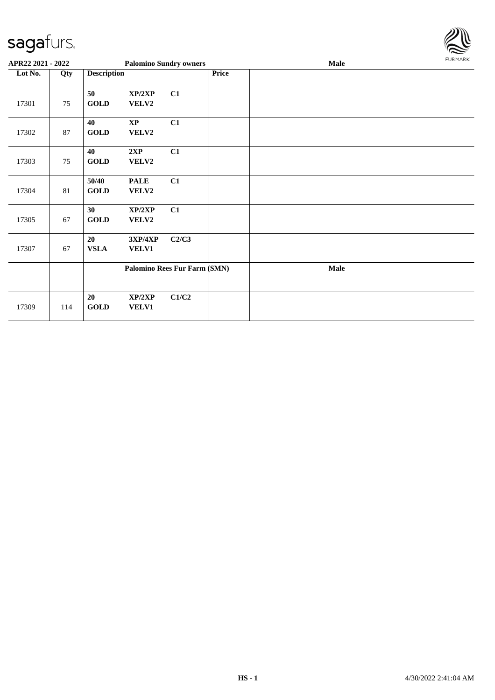

| APR22 2021 - 2022 |     |                      |                                 | <b>Palomino Sundry owners</b> |       | Male        | FURMARK |
|-------------------|-----|----------------------|---------------------------------|-------------------------------|-------|-------------|---------|
| Lot No.           | Qty | <b>Description</b>   |                                 |                               | Price |             |         |
| 17301             | 75  | 50<br><b>GOLD</b>    | XP/2XP<br>VELV2                 | C1                            |       |             |         |
| 17302             | 87  | 40<br><b>GOLD</b>    | $\mathbf{X}\mathbf{P}$<br>VELV2 | C1                            |       |             |         |
| 17303             | 75  | 40<br><b>GOLD</b>    | 2XP<br>VELV2                    | C1                            |       |             |         |
| 17304             | 81  | 50/40<br><b>GOLD</b> | <b>PALE</b><br>VELV2            | C1                            |       |             |         |
| 17305             | 67  | 30<br><b>GOLD</b>    | XP/2XP<br>VELV2                 | C1                            |       |             |         |
| 17307             | 67  | 20<br><b>VSLA</b>    | 3XP/4XP<br><b>VELV1</b>         | C2/C3                         |       |             |         |
|                   |     |                      |                                 | Palomino Rees Fur Farm (SMN)  |       | <b>Male</b> |         |
| 17309             | 114 | 20<br><b>GOLD</b>    | XP/2XP<br>VELV1                 | C1/C2                         |       |             |         |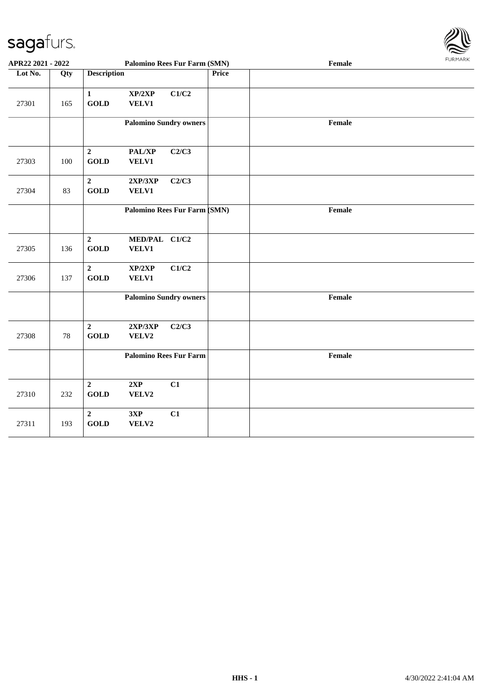

| APR22 2021 - 2022 |     |                                 | <b>Palomino Rees Fur Farm (SMN)</b> |       |              | Female | <b>FURMARK</b> |
|-------------------|-----|---------------------------------|-------------------------------------|-------|--------------|--------|----------------|
| Lot No.           | Qty | <b>Description</b>              |                                     |       | <b>Price</b> |        |                |
| 27301             | 165 | $\mathbf 1$<br><b>GOLD</b>      | XP/2XP<br><b>VELV1</b>              | C1/C2 |              |        |                |
|                   |     |                                 | <b>Palomino Sundry owners</b>       |       |              | Female |                |
| 27303             | 100 | $\overline{2}$<br><b>GOLD</b>   | PAL/XP<br><b>VELV1</b>              | C2/C3 |              |        |                |
| 27304             | 83  | $\overline{2}$<br><b>GOLD</b>   | 2XP/3XP<br><b>VELV1</b>             | C2/C3 |              |        |                |
|                   |     |                                 | Palomino Rees Fur Farm (SMN)        |       |              | Female |                |
| 27305             | 136 | $\boldsymbol{2}$<br><b>GOLD</b> | MED/PAL C1/C2<br>VELV1              |       |              |        |                |
| 27306             | 137 | $\overline{2}$<br><b>GOLD</b>   | XP/2XP<br>VELV1                     | C1/C2 |              |        |                |
|                   |     |                                 | <b>Palomino Sundry owners</b>       |       |              | Female |                |
| 27308             | 78  | $\overline{2}$<br><b>GOLD</b>   | 2XP/3XP<br>VELV2                    | C2/C3 |              |        |                |
|                   |     |                                 | <b>Palomino Rees Fur Farm</b>       |       |              | Female |                |
| 27310             | 232 | $\overline{2}$<br><b>GOLD</b>   | 2XP<br>VELV2                        | C1    |              |        |                |
| 27311             | 193 | $\overline{2}$<br><b>GOLD</b>   | 3XP<br>VELV2                        | C1    |              |        |                |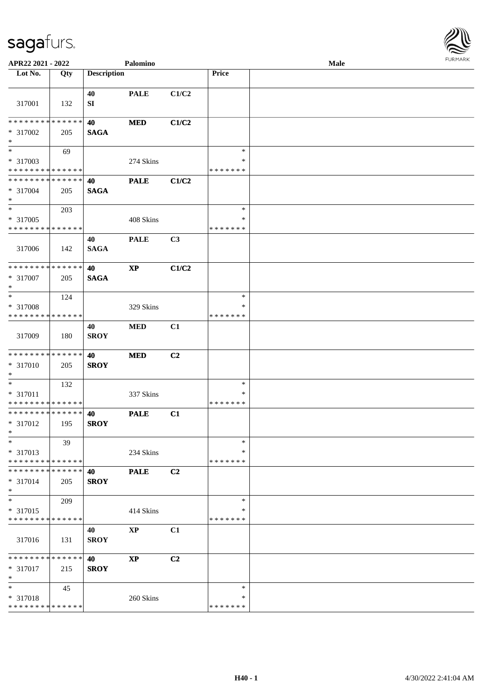

| APR22 2021 - 2022                       |             |                    | Palomino               |       |                         | Male |  |
|-----------------------------------------|-------------|--------------------|------------------------|-------|-------------------------|------|--|
| Lot No.                                 | Qty         | <b>Description</b> |                        |       | Price                   |      |  |
| 317001                                  | 132         | 40<br>SI           | <b>PALE</b>            | C1/C2 |                         |      |  |
| * * * * * * * *                         | * * * * * * | 40                 | <b>MED</b>             | C1/C2 |                         |      |  |
| * 317002<br>$\ast$                      | 205         | <b>SAGA</b>        |                        |       |                         |      |  |
| $\overline{\ast}$                       | 69          |                    |                        |       | $\ast$                  |      |  |
| * 317003<br>* * * * * * * * * * * * * * |             |                    | 274 Skins              |       | $\ast$<br>* * * * * * * |      |  |
| * * * * * * * * * * * * * *             |             | 40                 | <b>PALE</b>            | C1/C2 |                         |      |  |
| $* 317004$<br>$\ast$                    | 205         | <b>SAGA</b>        |                        |       |                         |      |  |
| $\ast$                                  | 203         |                    |                        |       | $\ast$                  |      |  |
| * 317005<br>* * * * * * * * * * * * * * |             |                    | 408 Skins              |       | $\ast$<br>* * * * * * * |      |  |
| 317006                                  | 142         | 40<br><b>SAGA</b>  | <b>PALE</b>            | C3    |                         |      |  |
| * * * * * * * * * * * * * *             |             | 40                 | $\bold{XP}$            | C1/C2 |                         |      |  |
| * 317007<br>$\ast$                      | 205         | <b>SAGA</b>        |                        |       |                         |      |  |
| $\ast$                                  | 124         |                    |                        |       | $\ast$                  |      |  |
| * 317008<br>* * * * * * * * * * * * * * |             |                    | 329 Skins              |       | ∗<br>* * * * * * *      |      |  |
| 317009                                  | 180         | 40<br><b>SROY</b>  | <b>MED</b>             | C1    |                         |      |  |
| * * * * * * * * * * * * * *             |             | 40                 | <b>MED</b>             | C2    |                         |      |  |
| $* 317010$<br>$\ast$                    | 205         | <b>SROY</b>        |                        |       |                         |      |  |
| $\ast$                                  | 132         |                    |                        |       | $\ast$                  |      |  |
| * 317011<br>* * * * * * * * * * * * * * |             |                    | 337 Skins              |       | $\ast$<br>* * * * * * * |      |  |
| **************<br>* 317012<br>$*$       | 195         | 40<br><b>SROY</b>  | <b>PALE</b>            | C1    |                         |      |  |
| $\ast$                                  | 39          |                    |                        |       | $\ast$                  |      |  |
| * 317013<br>* * * * * * * * * * * * * * |             |                    | 234 Skins              |       | ∗<br>* * * * * * *      |      |  |
| * * * * * * * *                         | * * * * * * | 40                 | <b>PALE</b>            | C2    |                         |      |  |
| * 317014<br>$\ast$                      | 205         | <b>SROY</b>        |                        |       |                         |      |  |
| $\ast$                                  | 209         |                    |                        |       | $\ast$                  |      |  |
| * 317015<br>* * * * * * * *             | * * * * * * |                    | 414 Skins              |       | ∗<br>* * * * * * *      |      |  |
|                                         |             | 40                 | $\bold{XP}$            | C1    |                         |      |  |
| 317016                                  | 131         | <b>SROY</b>        |                        |       |                         |      |  |
| * * * * * * * *                         | * * * * * * | 40                 | $\mathbf{X}\mathbf{P}$ | C2    |                         |      |  |
| * 317017<br>$\ast$                      | 215         | <b>SROY</b>        |                        |       |                         |      |  |
| $\ast$                                  | 45          |                    |                        |       | $\ast$                  |      |  |
| * 317018                                |             |                    | 260 Skins              |       | $\ast$                  |      |  |
| * * * * * * * * * * * * * *             |             |                    |                        |       | * * * * * * *           |      |  |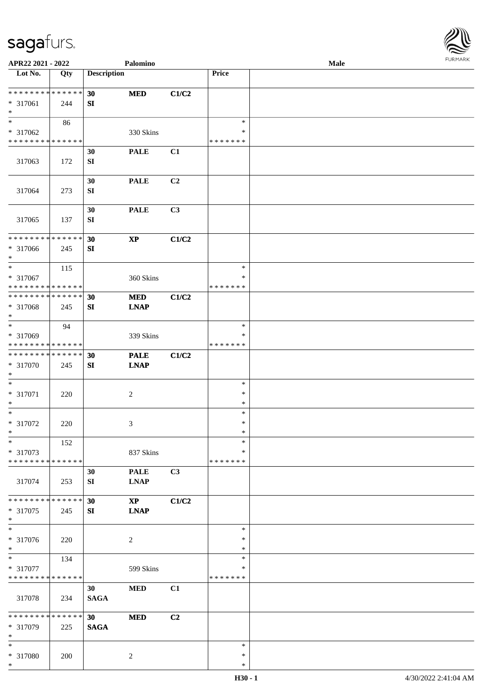

| APR22 2021 - 2022                       |             |                    | Palomino               |                |               | <b>Male</b> |  |
|-----------------------------------------|-------------|--------------------|------------------------|----------------|---------------|-------------|--|
| Lot No.                                 | Qty         | <b>Description</b> |                        |                | Price         |             |  |
|                                         |             |                    |                        |                |               |             |  |
| * * * * * * * * * * * * * *             |             | 30                 | <b>MED</b>             | C1/C2          |               |             |  |
| * 317061                                | 244         | SI                 |                        |                |               |             |  |
| $\ast$<br>$\overline{\phantom{0}}$      |             |                    |                        |                |               |             |  |
|                                         | 86          |                    |                        |                | $\ast$        |             |  |
| * 317062<br>* * * * * * * * * * * * * * |             |                    | 330 Skins              |                | ∗             |             |  |
|                                         |             |                    |                        |                | * * * * * * * |             |  |
|                                         |             | 30                 | <b>PALE</b>            | C1             |               |             |  |
| 317063                                  | 172         | ${\bf SI}$         |                        |                |               |             |  |
|                                         |             | 30                 | <b>PALE</b>            | C <sub>2</sub> |               |             |  |
| 317064                                  | 273         | ${\bf S}{\bf I}$   |                        |                |               |             |  |
|                                         |             |                    |                        |                |               |             |  |
|                                         |             | 30                 | <b>PALE</b>            | C3             |               |             |  |
| 317065                                  | 137         | SI                 |                        |                |               |             |  |
|                                         |             |                    |                        |                |               |             |  |
| * * * * * * * * * * * * * *             |             | 30                 | $\bold{XP}$            | C1/C2          |               |             |  |
| * 317066                                | 245         | ${\bf SI}$         |                        |                |               |             |  |
| $\ast$                                  |             |                    |                        |                |               |             |  |
| $\ast$                                  | 115         |                    |                        |                | $\ast$        |             |  |
| * 317067                                |             |                    | 360 Skins              |                | ∗             |             |  |
| * * * * * * * * * * * * * *             |             |                    |                        |                | * * * * * * * |             |  |
| * * * * * * * * * * * * * *             |             | 30                 | <b>MED</b>             | C1/C2          |               |             |  |
| * 317068                                | 245         | SI                 | <b>LNAP</b>            |                |               |             |  |
| $\ast$                                  |             |                    |                        |                |               |             |  |
| $\overline{\phantom{1}}$                | 94          |                    |                        |                | $\ast$        |             |  |
| * 317069                                |             |                    | 339 Skins              |                | ∗             |             |  |
| * * * * * * * * * * * * * *             |             |                    |                        |                | * * * * * * * |             |  |
| **************                          |             | 30                 | <b>PALE</b>            | C1/C2          |               |             |  |
| * 317070                                | 245         | ${\bf S}{\bf I}$   | <b>LNAP</b>            |                |               |             |  |
| $\ast$                                  |             |                    |                        |                |               |             |  |
| $\ast$                                  |             |                    |                        |                | $\ast$        |             |  |
| * 317071                                | 220         |                    | $\sqrt{2}$             |                | $\ast$        |             |  |
| $\ast$                                  |             |                    |                        |                | $\ast$        |             |  |
| $\ast$                                  |             |                    |                        |                | $\ast$        |             |  |
| $* 317072$                              | 220         |                    | 3                      |                | $\ast$        |             |  |
| $*$                                     |             |                    |                        |                | $\ast$        |             |  |
| $\ast$<br>* 317073                      | 152         |                    |                        |                | $\ast$<br>∗   |             |  |
| * * * * * * * * * * * * * *             |             |                    | 837 Skins              |                | * * * * * * * |             |  |
|                                         |             | 30                 | <b>PALE</b>            | C3             |               |             |  |
| 317074                                  | 253         | SI                 | <b>LNAP</b>            |                |               |             |  |
|                                         |             |                    |                        |                |               |             |  |
| * * * * * * * *                         | * * * * * * | 30                 | $\mathbf{X}\mathbf{P}$ | C1/C2          |               |             |  |
| * 317075                                | 245         | SI                 | <b>LNAP</b>            |                |               |             |  |
| $*$                                     |             |                    |                        |                |               |             |  |
| $\overline{\phantom{1}}$                |             |                    |                        |                | $\ast$        |             |  |
| * 317076                                | 220         |                    | $\overline{c}$         |                | ∗             |             |  |
| $*$                                     |             |                    |                        |                | $\ast$        |             |  |
| $\ast$                                  | 134         |                    |                        |                | $\ast$        |             |  |
| * 317077                                |             |                    | 599 Skins              |                | $\ast$        |             |  |
| * * * * * * * * * * * * * *             |             |                    |                        |                | * * * * * * * |             |  |
|                                         |             | 30                 | <b>MED</b>             | C1             |               |             |  |
| 317078                                  | 234         | <b>SAGA</b>        |                        |                |               |             |  |
|                                         |             |                    |                        |                |               |             |  |
| * * * * * * * * * * * * * * *           |             | 30                 | <b>MED</b>             | C2             |               |             |  |
| * 317079                                | 225         | <b>SAGA</b>        |                        |                |               |             |  |
| $\ast$<br>$*$                           |             |                    |                        |                | $\ast$        |             |  |
| * 317080                                |             |                    |                        |                | $\ast$        |             |  |
| $\ast$                                  | 200         |                    | $\overline{c}$         |                | $\ast$        |             |  |
|                                         |             |                    |                        |                |               |             |  |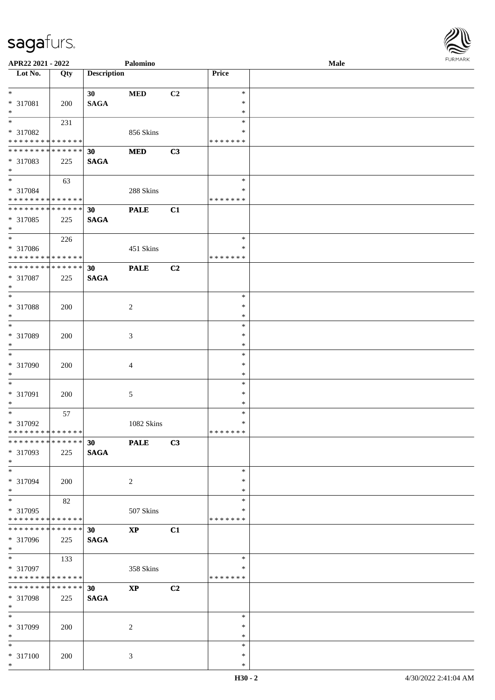

| APR22 2021 - 2022                          |             |                    | Palomino               |                |               | Male |  |
|--------------------------------------------|-------------|--------------------|------------------------|----------------|---------------|------|--|
| Lot No.                                    | Qty         | <b>Description</b> |                        |                | Price         |      |  |
|                                            |             |                    |                        |                |               |      |  |
| $*$                                        |             | 30                 | <b>MED</b>             | C <sub>2</sub> | $\ast$        |      |  |
| * 317081                                   | 200         | <b>SAGA</b>        |                        |                | $\ast$        |      |  |
| $*$                                        |             |                    |                        |                | $\ast$        |      |  |
| $\overline{\ast}$                          | 231         |                    |                        |                | $\ast$        |      |  |
|                                            |             |                    |                        |                | ∗             |      |  |
| * 317082                                   |             |                    | 856 Skins              |                |               |      |  |
| * * * * * * * * * * * * * * *              |             |                    |                        |                | * * * * * * * |      |  |
| * * * * * * * * <mark>* * * * * * *</mark> |             | 30                 | <b>MED</b>             | C3             |               |      |  |
| * 317083                                   | 225         | <b>SAGA</b>        |                        |                |               |      |  |
| $*$                                        |             |                    |                        |                |               |      |  |
| $*$                                        | 63          |                    |                        |                | $\ast$        |      |  |
| * 317084                                   |             |                    | 288 Skins              |                | $\ast$        |      |  |
| * * * * * * * * * * * * * *                |             |                    |                        |                | *******       |      |  |
|                                            |             |                    |                        |                |               |      |  |
| * * * * * * * * <mark>* * * * * * *</mark> |             | 30                 | <b>PALE</b>            | C1             |               |      |  |
| * 317085                                   | 225         | <b>SAGA</b>        |                        |                |               |      |  |
| $\ast$                                     |             |                    |                        |                |               |      |  |
| $\frac{1}{2}$                              | 226         |                    |                        |                | $\ast$        |      |  |
| * 317086                                   |             |                    | 451 Skins              |                | $\ast$        |      |  |
| * * * * * * * * <mark>* * * * * * *</mark> |             |                    |                        |                | * * * * * * * |      |  |
| * * * * * * * * <mark>* * * * * * *</mark> |             |                    |                        |                |               |      |  |
|                                            |             | 30                 | <b>PALE</b>            | C2             |               |      |  |
| * 317087                                   | 225         | <b>SAGA</b>        |                        |                |               |      |  |
| $*$                                        |             |                    |                        |                |               |      |  |
| $\overline{\phantom{0}}$                   |             |                    |                        |                | $\ast$        |      |  |
| * 317088                                   | 200         |                    | 2                      |                | $\ast$        |      |  |
| $*$                                        |             |                    |                        |                | $\ast$        |      |  |
| $\overline{\phantom{0}}$                   |             |                    |                        |                | $\ast$        |      |  |
|                                            |             |                    |                        |                |               |      |  |
| * 317089                                   | 200         |                    | $\mathfrak{Z}$         |                | $\ast$        |      |  |
| $*$                                        |             |                    |                        |                | $\ast$        |      |  |
|                                            |             |                    |                        |                | $\ast$        |      |  |
| * 317090                                   | 200         |                    | $\overline{4}$         |                | $\ast$        |      |  |
| $*$                                        |             |                    |                        |                | $\ast$        |      |  |
| $\ast$                                     |             |                    |                        |                | $\ast$        |      |  |
|                                            |             |                    |                        |                | $\ast$        |      |  |
| * 317091                                   | 200         |                    | $\sqrt{5}$             |                |               |      |  |
| $\ast$                                     |             |                    |                        |                | $\ast$        |      |  |
| $*$                                        | 57          |                    |                        |                | $\ast$        |      |  |
| * 317092                                   |             |                    | 1082 Skins             |                | $\ast$        |      |  |
| * * * * * * * * <mark>* * * * * * *</mark> |             |                    |                        |                | *******       |      |  |
|                                            |             | 30 <sup>°</sup>    | <b>PALE</b>            | C3             |               |      |  |
| * 317093                                   |             |                    |                        |                |               |      |  |
|                                            | 225         | <b>SAGA</b>        |                        |                |               |      |  |
| $*$                                        |             |                    |                        |                |               |      |  |
| $*$                                        |             |                    |                        |                | $\ast$        |      |  |
| * 317094                                   | 200         |                    | 2                      |                | $\ast$        |      |  |
| $*$                                        |             |                    |                        |                | $\ast$        |      |  |
| $\overline{\mathbf{r}}$                    | 82          |                    |                        |                | $\ast$        |      |  |
| * 317095                                   |             |                    | 507 Skins              |                | ∗             |      |  |
| ******** <mark>******</mark>               |             |                    |                        |                | *******       |      |  |
|                                            |             |                    |                        |                |               |      |  |
| * * * * * * * *                            | * * * * * * | 30                 | <b>XP</b>              | C1             |               |      |  |
| * 317096                                   | 225         | <b>SAGA</b>        |                        |                |               |      |  |
| $*$                                        |             |                    |                        |                |               |      |  |
|                                            | 133         |                    |                        |                | $\ast$        |      |  |
| * 317097                                   |             |                    | 358 Skins              |                | ∗             |      |  |
| * * * * * * * * <mark>* * * * * *</mark>   |             |                    |                        |                | *******       |      |  |
| * * * * * * * *                            | * * * * * * |                    |                        |                |               |      |  |
|                                            |             | 30 <sup>1</sup>    | $\mathbf{X}\mathbf{P}$ | C2             |               |      |  |
| * 317098                                   | 225         | <b>SAGA</b>        |                        |                |               |      |  |
| $*$                                        |             |                    |                        |                |               |      |  |
| $*$                                        |             |                    |                        |                | $\ast$        |      |  |
| * 317099                                   | 200         |                    | 2                      |                | $\ast$        |      |  |
| $*$                                        |             |                    |                        |                | $\ast$        |      |  |
| $*$                                        |             |                    |                        |                | $\ast$        |      |  |
|                                            |             |                    |                        |                | $\ast$        |      |  |
| * 317100                                   | 200         |                    | 3                      |                |               |      |  |
| $*$                                        |             |                    |                        |                | $\ast$        |      |  |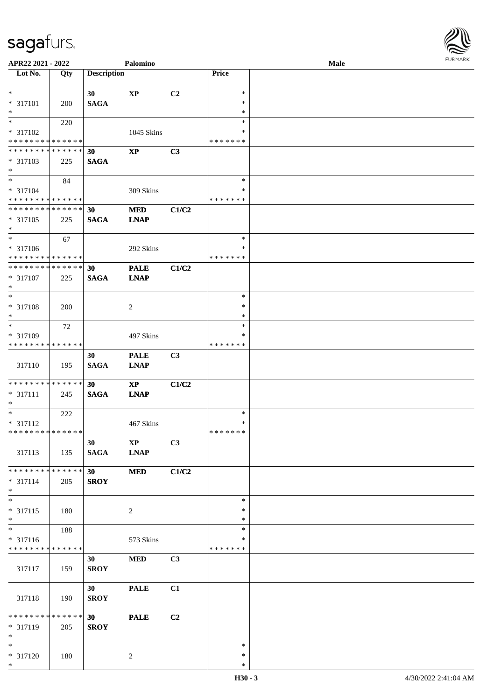

| APR22 2021 - 2022             |     |                    | Palomino               |                |               | <b>Male</b> |  |
|-------------------------------|-----|--------------------|------------------------|----------------|---------------|-------------|--|
| Lot No.                       | Qty | <b>Description</b> |                        |                | Price         |             |  |
|                               |     |                    |                        |                |               |             |  |
| $*$                           |     | 30                 | $\mathbf{X}\mathbf{P}$ | C <sub>2</sub> | $\ast$        |             |  |
| * 317101                      | 200 | <b>SAGA</b>        |                        |                | ∗             |             |  |
| $\ast$                        |     |                    |                        |                | $\ast$        |             |  |
| $*$                           |     |                    |                        |                | $\ast$        |             |  |
|                               | 220 |                    |                        |                |               |             |  |
| $* 317102$                    |     |                    | 1045 Skins             |                | ∗             |             |  |
| * * * * * * * * * * * * * *   |     |                    |                        |                | * * * * * * * |             |  |
| * * * * * * * * * * * * * * * |     | 30                 | <b>XP</b>              | C3             |               |             |  |
| * 317103                      | 225 | <b>SAGA</b>        |                        |                |               |             |  |
| $*$                           |     |                    |                        |                |               |             |  |
| $*$                           | 84  |                    |                        |                | $\ast$        |             |  |
| $* 317104$                    |     |                    | 309 Skins              |                | ∗             |             |  |
| * * * * * * * * * * * * * *   |     |                    |                        |                | * * * * * * * |             |  |
| ******** <mark>******</mark>  |     | 30                 | <b>MED</b>             | C1/C2          |               |             |  |
| * 317105                      | 225 | <b>SAGA</b>        | <b>LNAP</b>            |                |               |             |  |
| $*$                           |     |                    |                        |                |               |             |  |
| $*$                           |     |                    |                        |                |               |             |  |
|                               | 67  |                    |                        |                | $\ast$        |             |  |
| $* 317106$                    |     |                    | 292 Skins              |                | $\ast$        |             |  |
| * * * * * * * * * * * * * *   |     |                    |                        |                | * * * * * * * |             |  |
| * * * * * * * * * * * * * *   |     | 30                 | <b>PALE</b>            | C1/C2          |               |             |  |
| * 317107                      | 225 | <b>SAGA</b>        | <b>LNAP</b>            |                |               |             |  |
| $*$                           |     |                    |                        |                |               |             |  |
| $*$                           |     |                    |                        |                | $\ast$        |             |  |
| * 317108                      | 200 |                    | 2                      |                | $\ast$        |             |  |
| $\ast$                        |     |                    |                        |                | *             |             |  |
| $*$                           | 72  |                    |                        |                | $\ast$        |             |  |
| * 317109                      |     |                    | 497 Skins              |                | *             |             |  |
| * * * * * * * * * * * * * *   |     |                    |                        |                | * * * * * * * |             |  |
|                               |     |                    |                        |                |               |             |  |
|                               |     | 30                 | <b>PALE</b>            | C3             |               |             |  |
| 317110                        | 195 | <b>SAGA</b>        | <b>LNAP</b>            |                |               |             |  |
|                               |     |                    |                        |                |               |             |  |
| * * * * * * * * * * * * * * * |     | 30                 | $\mathbf{XP}$          | C1/C2          |               |             |  |
| * 317111                      | 245 | <b>SAGA</b>        | <b>LNAP</b>            |                |               |             |  |
| $*$                           |     |                    |                        |                |               |             |  |
| $*$                           | 222 |                    |                        |                | $\ast$        |             |  |
| * 317112                      |     |                    | 467 Skins              |                | $\ast$        |             |  |
| ******** <mark>******</mark>  |     |                    |                        |                | * * * * * * * |             |  |
|                               |     |                    |                        |                |               |             |  |
|                               |     | 30                 | $\mathbf{X}\mathbf{P}$ | C3             |               |             |  |
| 317113                        | 135 | <b>SAGA</b>        | <b>LNAP</b>            |                |               |             |  |
|                               |     |                    |                        |                |               |             |  |
| * * * * * * * * * * * * * * * |     | 30                 | <b>MED</b>             | C1/C2          |               |             |  |
| * 317114                      | 205 | <b>SROY</b>        |                        |                |               |             |  |
| $*$                           |     |                    |                        |                |               |             |  |
| $*$                           |     |                    |                        |                | $\ast$        |             |  |
| * 317115                      | 180 |                    | $\overline{c}$         |                | $\ast$        |             |  |
| $*$                           |     |                    |                        |                | *             |             |  |
|                               | 188 |                    |                        |                | $\ast$        |             |  |
| * 317116                      |     |                    | 573 Skins              |                | *             |             |  |
| * * * * * * * * * * * * * *   |     |                    |                        |                | * * * * * * * |             |  |
|                               |     |                    |                        |                |               |             |  |
|                               |     | 30                 | <b>MED</b>             | C3             |               |             |  |
| 317117                        | 159 | <b>SROY</b>        |                        |                |               |             |  |
|                               |     |                    |                        |                |               |             |  |
|                               |     | 30                 | <b>PALE</b>            | C1             |               |             |  |
| 317118                        | 190 | <b>SROY</b>        |                        |                |               |             |  |
|                               |     |                    |                        |                |               |             |  |
| * * * * * * * * * * * * * * * |     | 30 <sup>°</sup>    | <b>PALE</b>            | C <sub>2</sub> |               |             |  |
| * 317119                      | 205 | <b>SROY</b>        |                        |                |               |             |  |
| $*$                           |     |                    |                        |                |               |             |  |
| $*$                           |     |                    |                        |                | $\ast$        |             |  |
| * 317120                      | 180 |                    | 2                      |                | $\ast$        |             |  |
| $*$                           |     |                    |                        |                | $\ast$        |             |  |
|                               |     |                    |                        |                |               |             |  |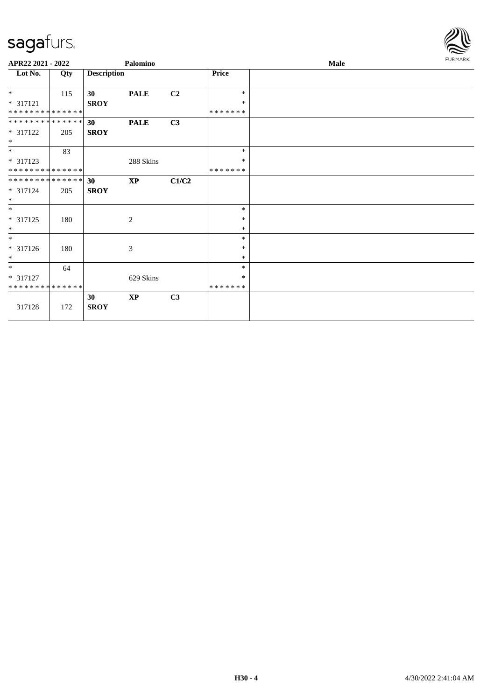

| APR22 2021 - 2022                      |     |                                | Palomino                    |                |                                   | Male | FURMARK |
|----------------------------------------|-----|--------------------------------|-----------------------------|----------------|-----------------------------------|------|---------|
| Lot No.                                | Qty | <b>Description</b>             |                             |                | <b>Price</b>                      |      |         |
| $*$<br>* 317121<br>**************      | 115 | 30<br><b>SROY</b>              | <b>PALE</b>                 | C <sub>2</sub> | $\ast$<br>$\ast$<br>* * * * * * * |      |         |
| **************<br>* 317122<br>$*$      | 205 | 30 <sup>°</sup><br><b>SROY</b> | <b>PALE</b>                 | C3             |                                   |      |         |
| $\ast$<br>$* 317123$<br>************** | 83  |                                | 288 Skins                   |                | $\ast$<br>$\ast$<br>* * * * * * * |      |         |
| **************<br>$* 317124$<br>$*$    | 205 | 30 <sup>°</sup><br><b>SROY</b> | $\bold{XP}$                 | C1/C2          |                                   |      |         |
| $*$<br>* 317125<br>$*$                 | 180 |                                | 2                           |                | $\ast$<br>$\ast$<br>$\ast$        |      |         |
| $\ast$<br>* 317126<br>$*$              | 180 |                                | $\boldsymbol{\mathfrak{Z}}$ |                | $\ast$<br>$\ast$<br>$\ast$        |      |         |
| $*$<br>* 317127<br>**************      | 64  |                                | 629 Skins                   |                | $\ast$<br>$\ast$<br>* * * * * * * |      |         |
| 317128                                 | 172 | 30<br><b>SROY</b>              | $\mathbf{X}\mathbf{P}$      | C3             |                                   |      |         |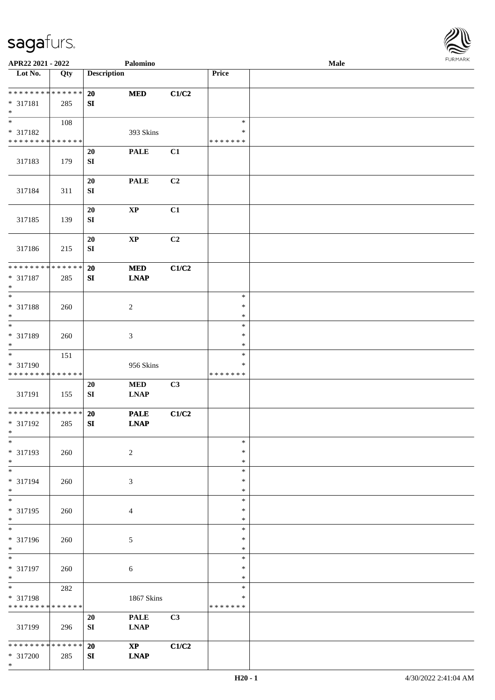

| APR22 2021 - 2022                                                     |     |                               | Palomino                              |                |                                   | Male |  |
|-----------------------------------------------------------------------|-----|-------------------------------|---------------------------------------|----------------|-----------------------------------|------|--|
| Lot No.                                                               | Qty | <b>Description</b>            |                                       |                | Price                             |      |  |
| ******** <mark>******</mark><br>* 317181<br>$\ast$                    | 285 | 20<br>SI                      | <b>MED</b>                            | C1/C2          |                                   |      |  |
| $\overline{\phantom{0}}$<br>* 317182<br>* * * * * * * * * * * * * *   | 108 |                               | 393 Skins                             |                | $\ast$<br>∗<br>* * * * * * *      |      |  |
| 317183                                                                | 179 | <b>20</b><br>${\bf SI}$       | <b>PALE</b>                           | C1             |                                   |      |  |
| 317184                                                                | 311 | 20<br>${\bf S}{\bf I}$        | <b>PALE</b>                           | C <sub>2</sub> |                                   |      |  |
| 317185                                                                | 139 | 20<br>SI                      | $\bold{XP}$                           | C1             |                                   |      |  |
| 317186                                                                | 215 | 20<br>${\bf S}{\bf I}$        | $\bold{XP}$                           | C2             |                                   |      |  |
| ******** <mark>******</mark><br>$* 317187$<br>$\ast$                  | 285 | <b>20</b><br>${\bf S}{\bf I}$ | $\bf MED$<br><b>LNAP</b>              | C1/C2          |                                   |      |  |
| $\ast$<br>* 317188<br>$\ast$<br>$\overline{\phantom{1}}$              | 260 |                               | $\sqrt{2}$                            |                | $\ast$<br>$\ast$<br>$\ast$        |      |  |
| * 317189<br>$\ast$                                                    | 260 |                               | $\ensuremath{\mathfrak{Z}}$           |                | $\ast$<br>$\ast$<br>$\ast$        |      |  |
| $\overline{\phantom{a}^*}$<br>* 317190<br>* * * * * * * * * * * * * * | 151 |                               | 956 Skins                             |                | $\ast$<br>$\ast$<br>* * * * * * * |      |  |
| 317191                                                                | 155 | 20<br>${\bf SI}$              | <b>MED</b><br><b>LNAP</b>             | C3             |                                   |      |  |
| **************<br>* 317192<br>$*$                                     | 285 | 20<br>SI                      | <b>PALE</b><br><b>LNAP</b>            | C1/C2          |                                   |      |  |
| $*$<br>* 317193<br>$\ast$                                             | 260 |                               | $\sqrt{2}$                            |                | $\ast$<br>$\ast$<br>$\ast$        |      |  |
| $\ast$<br>* 317194<br>$\ast$                                          | 260 |                               | 3                                     |                | $\ast$<br>$\ast$<br>$\ast$        |      |  |
| $\ast$<br>* 317195<br>$*$<br>$\overline{\phantom{1}}$                 | 260 |                               | 4                                     |                | $\ast$<br>$\ast$<br>$\ast$        |      |  |
| * 317196<br>$*$                                                       | 260 |                               | $\sqrt{5}$                            |                | $\ast$<br>$\ast$<br>$\ast$        |      |  |
| $\ast$<br>* 317197<br>$\ast$                                          | 260 |                               | $6\,$                                 |                | $\ast$<br>$\ast$<br>$\ast$        |      |  |
| $\ast$<br>* 317198<br>* * * * * * * * * * * * * *                     | 282 |                               | 1867 Skins                            |                | $\ast$<br>$\ast$<br>* * * * * * * |      |  |
| 317199                                                                | 296 | 20<br>SI                      | <b>PALE</b><br><b>LNAP</b>            | C3             |                                   |      |  |
| * * * * * * * * * * * * * *<br>* 317200<br>$*$                        | 285 | 20<br>SI                      | $\mathbf{X}\mathbf{P}$<br><b>LNAP</b> | C1/C2          |                                   |      |  |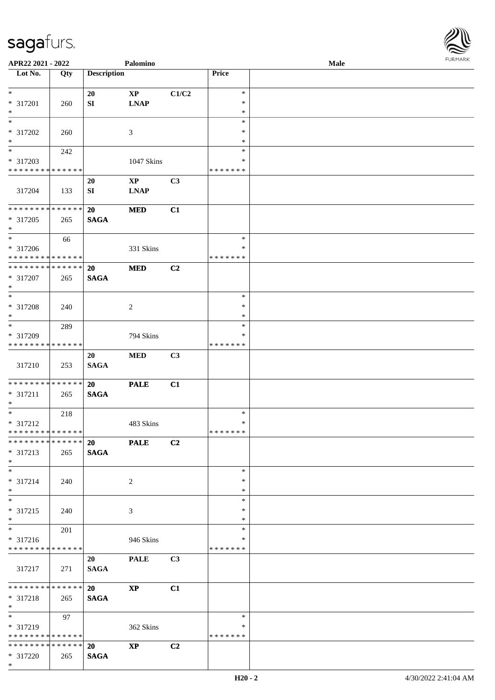**Lot No. Qty Description** 

| $\ast$                        |                             | 20          | $\mathbf{X}\mathbf{P}$ | C1/C2 | $\ast$        |  |
|-------------------------------|-----------------------------|-------------|------------------------|-------|---------------|--|
| * 317201                      | 260                         | SI          | <b>LNAP</b>            |       | $\ast$        |  |
| $*$                           |                             |             |                        |       | $\ast$        |  |
| $\ast$                        |                             |             |                        |       | $\ast$        |  |
|                               |                             |             |                        |       |               |  |
| * 317202                      | 260                         |             | $\mathfrak{Z}$         |       | $\ast$        |  |
| $*$                           |                             |             |                        |       | $\ast$        |  |
| $\overline{\phantom{a}^*}$    | 242                         |             |                        |       | $\ast$        |  |
| * 317203                      |                             |             | 1047 Skins             |       | $\ast$        |  |
| **************                |                             |             |                        |       | * * * * * * * |  |
|                               |                             | 20          | $\mathbf{X}\mathbf{P}$ | C3    |               |  |
| 317204                        | 133                         | SI          | <b>LNAP</b>            |       |               |  |
|                               |                             |             |                        |       |               |  |
| **************                |                             |             |                        |       |               |  |
|                               |                             | <b>20</b>   | <b>MED</b>             | C1    |               |  |
| * 317205                      | 265                         | <b>SAGA</b> |                        |       |               |  |
| $*$                           |                             |             |                        |       |               |  |
| $\overline{\phantom{1}}$      | 66                          |             |                        |       | $\ast$        |  |
| * 317206                      |                             |             | 331 Skins              |       | ∗             |  |
| * * * * * * * * * * * * * *   |                             |             |                        |       | *******       |  |
| **************                |                             | 20          | <b>MED</b>             | C2    |               |  |
| * 317207                      | 265                         | <b>SAGA</b> |                        |       |               |  |
| $\ast$                        |                             |             |                        |       |               |  |
| $\overline{\ast}$             |                             |             |                        |       |               |  |
|                               |                             |             |                        |       | $\ast$        |  |
| * 317208                      | 240                         |             | $\overline{2}$         |       | $\ast$        |  |
| $\ast$                        |                             |             |                        |       | $\ast$        |  |
| $\ast$                        | 289                         |             |                        |       | $\ast$        |  |
| * 317209                      |                             |             | 794 Skins              |       | $\ast$        |  |
| * * * * * * * * * * * * * *   |                             |             |                        |       | *******       |  |
|                               |                             | 20          | <b>MED</b>             | C3    |               |  |
| 317210                        | 253                         | <b>SAGA</b> |                        |       |               |  |
|                               |                             |             |                        |       |               |  |
|                               |                             |             |                        |       |               |  |
| **************                |                             | <b>20</b>   | <b>PALE</b>            | C1    |               |  |
| * 317211                      | 265                         | <b>SAGA</b> |                        |       |               |  |
| $*$                           |                             |             |                        |       |               |  |
| $\ast$                        | 218                         |             |                        |       | $\ast$        |  |
| $* 317212$                    |                             |             | 483 Skins              |       | ∗             |  |
| **************                |                             |             |                        |       | *******       |  |
| ************** 20             |                             |             | <b>PALE</b>            | C2    |               |  |
| $* 317213$                    | 265   SAGA                  |             |                        |       |               |  |
|                               |                             |             |                        |       |               |  |
| $\ast$                        |                             |             |                        |       |               |  |
| $\ast$                        |                             |             |                        |       | $\ast$        |  |
| $* 317214$                    | 240                         |             | $\overline{2}$         |       | $\ast$        |  |
| $\ast$                        |                             |             |                        |       | $\ast$        |  |
| $\ast$                        |                             |             |                        |       | $\ast$        |  |
| * 317215                      | 240                         |             | $\mathfrak{Z}$         |       | $\ast$        |  |
| $\ast$                        |                             |             |                        |       | $\ast$        |  |
| $\ast$                        | 201                         |             |                        |       | $\ast$        |  |
| * 317216                      |                             |             | 946 Skins              |       | ∗             |  |
| * * * * * * * * * * * * * *   |                             |             |                        |       | * * * * * * * |  |
|                               |                             | 20          | <b>PALE</b>            | C3    |               |  |
|                               |                             |             |                        |       |               |  |
| 317217                        | 271                         | <b>SAGA</b> |                        |       |               |  |
|                               |                             |             |                        |       |               |  |
| * * * * * * * * * * * * * *   |                             | 20          | $\mathbf{X}\mathbf{P}$ | C1    |               |  |
| * 317218                      | 265                         | <b>SAGA</b> |                        |       |               |  |
| $\ast$                        |                             |             |                        |       |               |  |
| $\ast$                        | 97                          |             |                        |       | $\ast$        |  |
| * 317219                      |                             |             | 362 Skins              |       | ∗             |  |
|                               |                             |             |                        |       | * * * * * * * |  |
|                               | * * * * * * * * * * * * * * |             |                        |       |               |  |
| * * * * * * * * * * * * * * * |                             |             |                        |       |               |  |
|                               |                             | 20          | $\mathbf{X}\mathbf{P}$ | C2    |               |  |
| * 317220<br>$*$               | 265                         | <b>SAGA</b> |                        |       |               |  |

 $\overline{\phantom{a}}$ 

**APR22 2021 - 2022 Palomino Male**<br> **Price Palomino Male** 

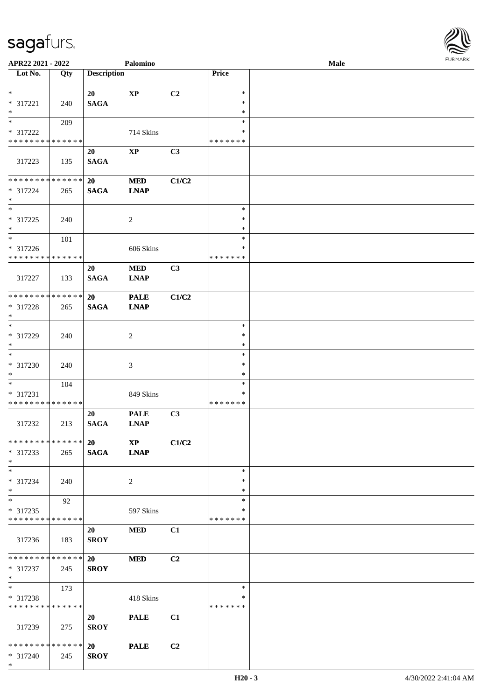

| APR22 2021 - 2022             |     |                    | Palomino               |       |               | <b>Male</b> |  |
|-------------------------------|-----|--------------------|------------------------|-------|---------------|-------------|--|
| Lot No.                       | Qty | <b>Description</b> |                        |       | Price         |             |  |
|                               |     |                    |                        |       |               |             |  |
| $*$                           |     | 20                 | $\bold{XP}$            | C2    | $\ast$        |             |  |
| * 317221                      | 240 | <b>SAGA</b>        |                        |       | $\ast$        |             |  |
| $*$                           |     |                    |                        |       | $\ast$        |             |  |
| $\overline{\ast}$             | 209 |                    |                        |       | $\ast$        |             |  |
| * 317222                      |     |                    | 714 Skins              |       | *             |             |  |
| * * * * * * * * * * * * * *   |     |                    |                        |       | *******       |             |  |
|                               |     | 20                 | $\mathbf{XP}$          | C3    |               |             |  |
| 317223                        | 135 | <b>SAGA</b>        |                        |       |               |             |  |
|                               |     |                    |                        |       |               |             |  |
| * * * * * * * * * * * * * *   |     | 20                 | <b>MED</b>             | C1/C2 |               |             |  |
| * 317224                      | 265 | <b>SAGA</b>        | <b>LNAP</b>            |       |               |             |  |
| $*$                           |     |                    |                        |       |               |             |  |
| $*$                           |     |                    |                        |       | $\ast$        |             |  |
| $* 317225$                    | 240 |                    | $\sqrt{2}$             |       | $\ast$        |             |  |
| $*$                           |     |                    |                        |       | $\ast$        |             |  |
| $*$                           | 101 |                    |                        |       | $\ast$        |             |  |
| $* 317226$                    |     |                    | 606 Skins              |       | $\ast$        |             |  |
| * * * * * * * * * * * * * *   |     |                    |                        |       | * * * * * * * |             |  |
|                               |     |                    | <b>MED</b>             | C3    |               |             |  |
| 317227                        | 133 | 20<br><b>SAGA</b>  | <b>LNAP</b>            |       |               |             |  |
|                               |     |                    |                        |       |               |             |  |
| * * * * * * * * * * * * * *   |     | 20                 | <b>PALE</b>            | C1/C2 |               |             |  |
|                               |     |                    |                        |       |               |             |  |
| * 317228<br>$*$               | 265 | <b>SAGA</b>        | <b>LNAP</b>            |       |               |             |  |
| $*$                           |     |                    |                        |       | $\ast$        |             |  |
|                               |     |                    |                        |       |               |             |  |
| * 317229                      | 240 |                    | $\overline{c}$         |       | $\ast$        |             |  |
| $*$<br>$*$                    |     |                    |                        |       | $\ast$        |             |  |
|                               |     |                    |                        |       | $\ast$        |             |  |
| $* 317230$                    | 240 |                    | 3                      |       | $\ast$        |             |  |
| $*$                           |     |                    |                        |       | $\ast$        |             |  |
| $*$                           | 104 |                    |                        |       | $\ast$        |             |  |
| $* 317231$                    |     |                    | 849 Skins              |       | $\ast$        |             |  |
| * * * * * * * * * * * * * *   |     |                    |                        |       | *******       |             |  |
|                               |     | 20                 | <b>PALE</b>            | C3    |               |             |  |
| 317232                        | 213 | <b>SAGA</b>        | <b>LNAP</b>            |       |               |             |  |
|                               |     |                    |                        |       |               |             |  |
| * * * * * * * * * * * * * * * |     | <b>20</b>          | $\mathbf{X}\mathbf{P}$ | C1/C2 |               |             |  |
| * 317233                      | 265 | <b>SAGA</b>        | <b>LNAP</b>            |       |               |             |  |
| $*$                           |     |                    |                        |       |               |             |  |
| $*$                           |     |                    |                        |       | $\ast$        |             |  |
| * 317234                      | 240 |                    | 2                      |       | $\ast$        |             |  |
| $*$                           |     |                    |                        |       | $\ast$        |             |  |
| $*$                           | 92  |                    |                        |       | $\ast$        |             |  |
| * 317235                      |     |                    | 597 Skins              |       | ∗             |             |  |
| * * * * * * * * * * * * * *   |     |                    |                        |       | *******       |             |  |
|                               |     | 20                 | <b>MED</b>             | C1    |               |             |  |
| 317236                        | 183 | <b>SROY</b>        |                        |       |               |             |  |
|                               |     |                    |                        |       |               |             |  |
| * * * * * * * * * * * * * * * |     | <b>20</b>          | <b>MED</b>             | C2    |               |             |  |
| * 317237                      | 245 | <b>SROY</b>        |                        |       |               |             |  |
| $*$                           |     |                    |                        |       |               |             |  |
| $*$                           | 173 |                    |                        |       | $\ast$        |             |  |
| * 317238                      |     |                    | 418 Skins              |       | ∗             |             |  |
| * * * * * * * * * * * * * *   |     |                    |                        |       | *******       |             |  |
|                               |     | 20                 | <b>PALE</b>            | C1    |               |             |  |
| 317239                        | 275 | <b>SROY</b>        |                        |       |               |             |  |
|                               |     |                    |                        |       |               |             |  |
| * * * * * * * * * * * * * * * |     | 20                 | <b>PALE</b>            | C2    |               |             |  |
| * 317240                      | 245 | <b>SROY</b>        |                        |       |               |             |  |
| $*$                           |     |                    |                        |       |               |             |  |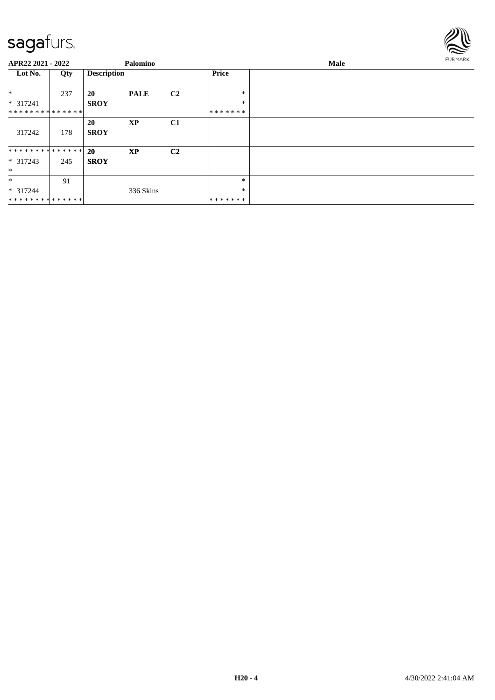

| APR22 2021 - 2022             |     |                    | Palomino    |                |         | Male |  |  |  |
|-------------------------------|-----|--------------------|-------------|----------------|---------|------|--|--|--|
| Lot No.                       | Qty | <b>Description</b> |             |                | Price   |      |  |  |  |
| $\ast$                        | 237 | <b>20</b>          | <b>PALE</b> | C <sub>2</sub> | *       |      |  |  |  |
| $* 317241$                    |     | <b>SROY</b>        |             |                | $\ast$  |      |  |  |  |
| **************                |     |                    |             |                | ******* |      |  |  |  |
|                               |     | <b>20</b>          | <b>XP</b>   | C1             |         |      |  |  |  |
| 317242                        | 178 | <b>SROY</b>        |             |                |         |      |  |  |  |
| * * * * * * * * * * * * * * * |     | <b>20</b>          | <b>XP</b>   | C <sub>2</sub> |         |      |  |  |  |
| $* 317243$                    | 245 | <b>SROY</b>        |             |                |         |      |  |  |  |
| $\ast$                        |     |                    |             |                |         |      |  |  |  |
| $\ast$                        | 91  |                    |             |                | *       |      |  |  |  |
| $* 317244$                    |     |                    | 336 Skins   |                | $\ast$  |      |  |  |  |
| **************                |     |                    |             |                | ******* |      |  |  |  |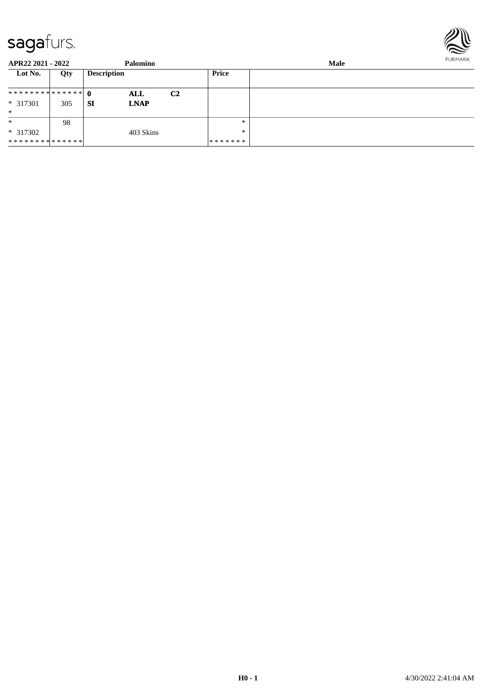

| APR22 2021 - 2022 |     |                    | Palomino    |                |               | FURMARK |  |
|-------------------|-----|--------------------|-------------|----------------|---------------|---------|--|
| Lot No.           | Qty | <b>Description</b> |             |                | Price         |         |  |
| ************** 0  |     |                    | ALL         | C <sub>2</sub> |               |         |  |
| $* 317301$        | 305 | <b>SI</b>          | <b>LNAP</b> |                |               |         |  |
| $\ast$            |     |                    |             |                |               |         |  |
| $\ast$            | 98  |                    |             |                | $\ast$        |         |  |
| $*317302$         |     |                    | 403 Skins   |                | $*$           |         |  |
| **************    |     |                    |             |                | * * * * * * * |         |  |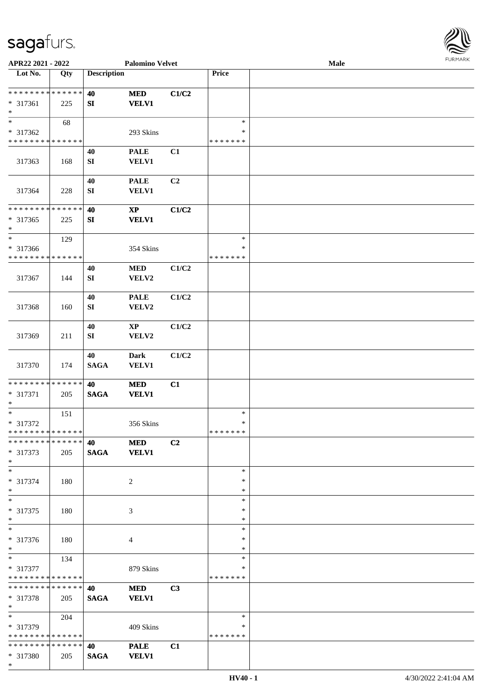

| APR22 2021 - 2022             |     |                    | <b>Palomino Velvet</b> |       |               | Male | 101111111111 |
|-------------------------------|-----|--------------------|------------------------|-------|---------------|------|--------------|
| Lot No.                       | Qty | <b>Description</b> |                        |       | Price         |      |              |
|                               |     |                    |                        |       |               |      |              |
| * * * * * * * * * * * * * *   |     | 40                 | $\bf MED$              | C1/C2 |               |      |              |
| * 317361                      | 225 | SI                 | <b>VELV1</b>           |       |               |      |              |
| $\ast$                        |     |                    |                        |       |               |      |              |
| $\ast$                        | 68  |                    |                        |       | $\ast$        |      |              |
|                               |     |                    |                        |       | ∗             |      |              |
| * 317362                      |     |                    | 293 Skins              |       |               |      |              |
| * * * * * * * * * * * * * *   |     |                    |                        |       | * * * * * * * |      |              |
|                               |     | 40                 | <b>PALE</b>            | C1    |               |      |              |
| 317363                        | 168 | SI                 | <b>VELV1</b>           |       |               |      |              |
|                               |     |                    |                        |       |               |      |              |
|                               |     | 40                 | <b>PALE</b>            | C2    |               |      |              |
| 317364                        | 228 | ${\bf SI}$         | VELV1                  |       |               |      |              |
|                               |     |                    |                        |       |               |      |              |
| * * * * * * * * * * * * * *   |     | 40                 | $\bold{XP}$            | C1/C2 |               |      |              |
| $* 317365$                    | 225 | SI                 | <b>VELV1</b>           |       |               |      |              |
| $\ast$                        |     |                    |                        |       |               |      |              |
| $\ast$                        |     |                    |                        |       | $\ast$        |      |              |
|                               | 129 |                    |                        |       |               |      |              |
| * 317366                      |     |                    | 354 Skins              |       | $\ast$        |      |              |
| * * * * * * * * * * * * * *   |     |                    |                        |       | * * * * * * * |      |              |
|                               |     | 40                 | <b>MED</b>             | C1/C2 |               |      |              |
| 317367                        | 144 | SI                 | VELV2                  |       |               |      |              |
|                               |     |                    |                        |       |               |      |              |
|                               |     | 40                 | <b>PALE</b>            | C1/C2 |               |      |              |
| 317368                        | 160 | SI                 | VELV2                  |       |               |      |              |
|                               |     |                    |                        |       |               |      |              |
|                               |     | 40                 | $\mathbf{X}\mathbf{P}$ | C1/C2 |               |      |              |
|                               |     |                    |                        |       |               |      |              |
| 317369                        | 211 | SI                 | VELV2                  |       |               |      |              |
|                               |     |                    |                        |       |               |      |              |
|                               |     | 40                 | <b>Dark</b>            | C1/C2 |               |      |              |
| 317370                        | 174 | <b>SAGA</b>        | VELV1                  |       |               |      |              |
|                               |     |                    |                        |       |               |      |              |
| * * * * * * * * * * * * * *   |     | 40                 | $\bf MED$              | C1    |               |      |              |
| * 317371                      | 205 | $\mathbf{SAGA}$    | <b>VELV1</b>           |       |               |      |              |
| $\ast$                        |     |                    |                        |       |               |      |              |
| $\ast$                        | 151 |                    |                        |       | $\ast$        |      |              |
| $* 317372$                    |     |                    | 356 Skins              |       | $\ast$        |      |              |
| **************                |     |                    |                        |       | *******       |      |              |
| * * * * * * * * * * * * * * * |     | 40                 | <b>MED</b>             | C2    |               |      |              |
| * 317373                      | 205 | <b>SAGA</b>        | <b>VELV1</b>           |       |               |      |              |
| $*$                           |     |                    |                        |       |               |      |              |
| $\ast$                        |     |                    |                        |       | ∗             |      |              |
|                               |     |                    |                        |       |               |      |              |
| * 317374                      | 180 |                    | 2                      |       | ∗             |      |              |
| $\ast$                        |     |                    |                        |       | $\ast$        |      |              |
| $*$                           |     |                    |                        |       | $\ast$        |      |              |
| * 317375                      | 180 |                    | 3                      |       | ∗             |      |              |
| $\ast$                        |     |                    |                        |       | $\ast$        |      |              |
| $\ast$                        |     |                    |                        |       | $\ast$        |      |              |
| * 317376                      | 180 |                    | 4                      |       | ∗             |      |              |
| $*$                           |     |                    |                        |       | *             |      |              |
| $\ast$                        | 134 |                    |                        |       | ∗             |      |              |
| * 317377                      |     |                    | 879 Skins              |       | ∗             |      |              |
| * * * * * * * * * * * * * * * |     |                    |                        |       | * * * * * * * |      |              |
| * * * * * * * * * * * * * * * |     | 40                 |                        |       |               |      |              |
|                               |     |                    | <b>MED</b>             | C3    |               |      |              |
| * 317378                      | 205 | <b>SAGA</b>        | <b>VELV1</b>           |       |               |      |              |
| $*$                           |     |                    |                        |       |               |      |              |
| $*$                           | 204 |                    |                        |       | $\ast$        |      |              |
| * 317379                      |     |                    | 409 Skins              |       | ∗             |      |              |
| * * * * * * * * * * * * * *   |     |                    |                        |       | * * * * * * * |      |              |
| * * * * * * * * * * * * * * * |     | 40                 | <b>PALE</b>            | C1    |               |      |              |
| * 317380                      | 205 | <b>SAGA</b>        | <b>VELV1</b>           |       |               |      |              |
| $*$                           |     |                    |                        |       |               |      |              |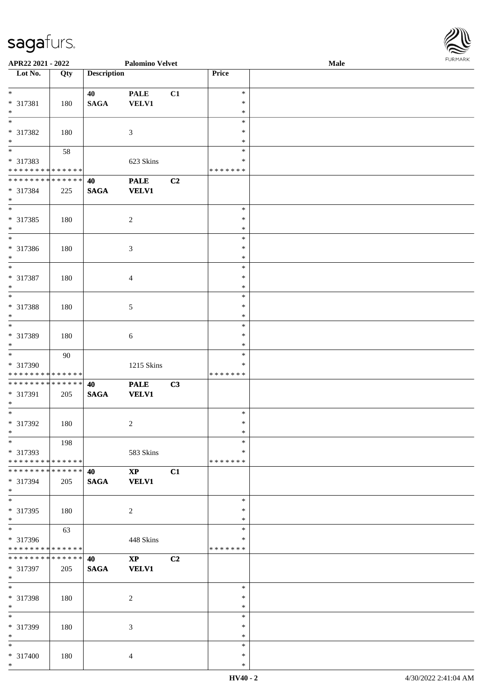\*

| APR22 2021 - 2022                                    |     |                    | <b>Palomino Velvet</b> |    |                  | Male | <b>FURMARK</b> |
|------------------------------------------------------|-----|--------------------|------------------------|----|------------------|------|----------------|
| Lot No.                                              | Qty | <b>Description</b> |                        |    | Price            |      |                |
| $*$                                                  |     | 40                 | <b>PALE</b>            | C1 | $\ast$           |      |                |
| * 317381                                             | 180 | <b>SAGA</b>        | <b>VELV1</b>           |    | $\ast$           |      |                |
| $*$                                                  |     |                    |                        |    | $\ast$           |      |                |
| $\overline{\ }$                                      |     |                    |                        |    | $\ast$           |      |                |
| * 317382                                             | 180 |                    | $\mathfrak{Z}$         |    | $\ast$           |      |                |
|                                                      |     |                    |                        |    | $\ast$           |      |                |
| $*$<br>*                                             | 58  |                    |                        |    | $\ast$           |      |                |
| * 317383                                             |     |                    | 623 Skins              |    | $\ast$           |      |                |
| * * * * * * * * <mark>* * * * * *</mark>             |     |                    |                        |    | * * * * * * *    |      |                |
| ******** <mark>******</mark>                         |     | 40                 | <b>PALE</b>            | C2 |                  |      |                |
| * 317384                                             | 225 | <b>SAGA</b>        | <b>VELV1</b>           |    |                  |      |                |
| $\ast$                                               |     |                    |                        |    |                  |      |                |
|                                                      |     |                    |                        |    | $\ast$           |      |                |
| * 317385                                             | 180 |                    | 2                      |    | $\ast$           |      |                |
| $*$<br>$\overline{\ast}$                             |     |                    |                        |    | $\ast$           |      |                |
|                                                      |     |                    |                        |    | $\ast$           |      |                |
| * 317386                                             | 180 |                    | $\mathfrak{Z}$         |    | $\ast$           |      |                |
| $*$<br>$\overline{\ast}$                             |     |                    |                        |    | $\ast$<br>$\ast$ |      |                |
| * 317387                                             |     |                    |                        |    | $\ast$           |      |                |
| $*$                                                  | 180 |                    | $\overline{4}$         |    | $\ast$           |      |                |
| $\overline{\ }$                                      |     |                    |                        |    | $\ast$           |      |                |
| * 317388                                             | 180 |                    | $\sqrt{5}$             |    | $\ast$           |      |                |
| $*$                                                  |     |                    |                        |    | $\ast$           |      |                |
|                                                      |     |                    |                        |    | $\ast$           |      |                |
| * 317389                                             | 180 |                    | $\sqrt{6}$             |    | $\ast$           |      |                |
| $*$                                                  |     |                    |                        |    | $\ast$           |      |                |
|                                                      | 90  |                    |                        |    | $\ast$           |      |                |
| * 317390                                             |     |                    | 1215 Skins             |    | $\ast$           |      |                |
| * * * * * * * * <mark>* * * * * * *</mark>           |     |                    |                        |    | * * * * * * *    |      |                |
| * * * * * * * * <mark>* * * * * * *</mark>           |     | 40                 | <b>PALE</b>            | C3 |                  |      |                |
| * 317391                                             | 205 | <b>SAGA</b>        | <b>VELV1</b>           |    |                  |      |                |
| $*$                                                  |     |                    |                        |    |                  |      |                |
| $*$                                                  |     |                    |                        |    | $\ast$           |      |                |
| * 317392                                             | 180 |                    | $\overline{c}$         |    | $\ast$           |      |                |
| $*$<br>$*$                                           |     |                    |                        |    | ∗                |      |                |
|                                                      | 198 |                    |                        |    | $\ast$<br>$\ast$ |      |                |
| * 317393<br>* * * * * * * * <mark>* * * * * *</mark> |     |                    | 583 Skins              |    | *******          |      |                |
| * * * * * * * * <mark>* * * * * * *</mark>           |     | 40                 | $\mathbf{XP}$          | C1 |                  |      |                |
| * 317394                                             | 205 | <b>SAGA</b>        | <b>VELV1</b>           |    |                  |      |                |
| $*$                                                  |     |                    |                        |    |                  |      |                |
| $\overline{\mathbf{r}}$                              |     |                    |                        |    | $\ast$           |      |                |
| * 317395                                             | 180 |                    | $\overline{2}$         |    | $\ast$           |      |                |
| $*$                                                  |     |                    |                        |    | ∗                |      |                |
| $*$                                                  | 63  |                    |                        |    | $\ast$           |      |                |
| * 317396                                             |     |                    | 448 Skins              |    | ∗                |      |                |
| * * * * * * * * <mark>* * * * * * *</mark>           |     |                    |                        |    | * * * * * * *    |      |                |
| * * * * * * * * * * * * * * *                        |     | 40                 | $\mathbf{X}\mathbf{P}$ | C2 |                  |      |                |
| * 317397                                             | 205 | <b>SAGA</b>        | <b>VELV1</b>           |    |                  |      |                |
| $\ast$                                               |     |                    |                        |    |                  |      |                |
| $*$                                                  |     |                    |                        |    | $\ast$           |      |                |
| * 317398                                             | 180 |                    | 2                      |    | $\ast$           |      |                |
| $*$                                                  |     |                    |                        |    | $\ast$           |      |                |
| $\ast$                                               |     |                    |                        |    | $\ast$           |      |                |
| * 317399                                             | 180 |                    | 3                      |    | $\ast$           |      |                |
| $*$<br>$\ast$                                        |     |                    |                        |    | $\ast$<br>$\ast$ |      |                |
|                                                      |     |                    |                        |    | $\ast$           |      |                |
| * 317400                                             | 180 |                    | $\overline{4}$         |    |                  |      |                |

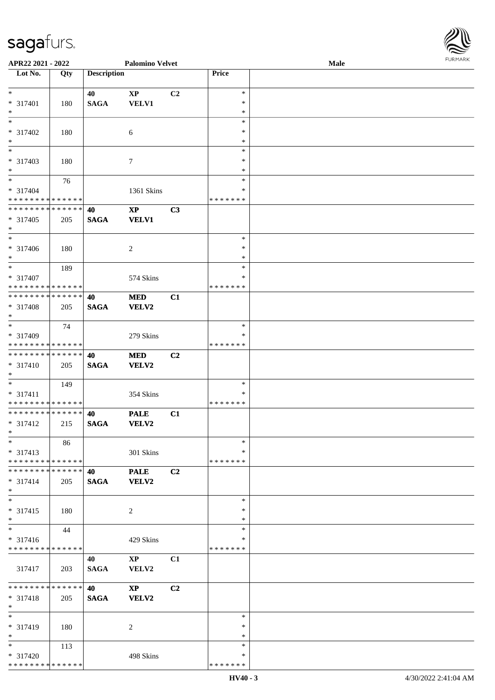\* \* \* \* \* \* \* \* \* \* \* \* \* \* \*

| APR22 2021 - 2022                                    |     |                    | <b>Palomino Velvet</b> |                |               | Male | <b>FURPIARA</b> |
|------------------------------------------------------|-----|--------------------|------------------------|----------------|---------------|------|-----------------|
| Lot No.                                              | Qty | <b>Description</b> |                        |                | Price         |      |                 |
|                                                      |     |                    |                        |                |               |      |                 |
| $\ast$                                               |     | 40                 | $\mathbf{X}\mathbf{P}$ | C2             | $\ast$        |      |                 |
| * 317401                                             | 180 | <b>SAGA</b>        | <b>VELV1</b>           |                | $\ast$        |      |                 |
| $\ast$                                               |     |                    |                        |                | $\ast$        |      |                 |
| $\ast$                                               |     |                    |                        |                | $\ast$        |      |                 |
| * 317402                                             | 180 |                    | 6                      |                | $\ast$        |      |                 |
| $\ast$                                               |     |                    |                        |                | $\ast$        |      |                 |
| $*$                                                  |     |                    |                        |                | $\ast$        |      |                 |
| * 317403                                             | 180 |                    | $\tau$                 |                | $\ast$        |      |                 |
| $\ast$                                               |     |                    |                        |                | $\ast$        |      |                 |
| $\ddot{x}$                                           | 76  |                    |                        |                | $\ast$        |      |                 |
| * 317404                                             |     |                    | 1361 Skins             |                | ∗             |      |                 |
| * * * * * * * * <mark>* * * * * * *</mark>           |     |                    |                        |                | * * * * * * * |      |                 |
| * * * * * * * * <mark>* * * * * * *</mark>           |     | 40                 | $\mathbf{X}\mathbf{P}$ | C3             |               |      |                 |
| * 317405                                             | 205 | <b>SAGA</b>        | <b>VELV1</b>           |                |               |      |                 |
| $*$                                                  |     |                    |                        |                |               |      |                 |
| $\overline{\phantom{0}}$                             |     |                    |                        |                | $\ast$        |      |                 |
| * 317406                                             | 180 |                    | 2                      |                | $\ast$        |      |                 |
| $*$                                                  |     |                    |                        |                | $\ast$        |      |                 |
| $*$                                                  | 189 |                    |                        |                | $\ast$        |      |                 |
| * 317407                                             |     |                    | 574 Skins              |                | ∗             |      |                 |
| * * * * * * * * <mark>* * * * * * *</mark>           |     |                    |                        |                | * * * * * * * |      |                 |
| **************                                       |     | 40                 | <b>MED</b>             | C1             |               |      |                 |
| * 317408                                             |     | <b>SAGA</b>        | VELV2                  |                |               |      |                 |
| $*$                                                  | 205 |                    |                        |                |               |      |                 |
|                                                      |     |                    |                        |                | $\ast$        |      |                 |
|                                                      | 74  |                    |                        |                | ∗             |      |                 |
| * 317409<br>* * * * * * * * <mark>* * * * * *</mark> |     |                    | 279 Skins              |                | * * * * * * * |      |                 |
| * * * * * * * * * * * * * * <mark>*</mark>           |     |                    |                        |                |               |      |                 |
|                                                      |     | 40                 | <b>MED</b>             | C <sub>2</sub> |               |      |                 |
| * 317410                                             | 205 | <b>SAGA</b>        | <b>VELV2</b>           |                |               |      |                 |
| $\ast$                                               |     |                    |                        |                |               |      |                 |
|                                                      | 149 |                    |                        |                | $\ast$        |      |                 |
| * 317411                                             |     |                    | 354 Skins              |                | ∗             |      |                 |
| * * * * * * * * <mark>* * * * * * *</mark>           |     |                    |                        |                | * * * * * * * |      |                 |
| * * * * * * * * * * * * * * <mark>*</mark>           |     | 40                 | <b>PALE</b>            | C1             |               |      |                 |
| * 317412                                             | 215 | <b>SAGA</b>        | <b>VELV2</b>           |                |               |      |                 |
| $\ast$                                               |     |                    |                        |                |               |      |                 |
| $\ast$                                               | 86  |                    |                        |                | $\ast$        |      |                 |
| $* 317413$                                           |     |                    | 301 Skins              |                | $\ast$        |      |                 |
| * * * * * * * * <mark>* * * * * *</mark>             |     |                    |                        |                | * * * * * * * |      |                 |
| * * * * * * * * <mark>* * * * * *</mark>             |     | 40                 | <b>PALE</b>            | C2             |               |      |                 |
| $* 317414$                                           | 205 | <b>SAGA</b>        | <b>VELV2</b>           |                |               |      |                 |
| $\ast$                                               |     |                    |                        |                |               |      |                 |
| $\ast$                                               |     |                    |                        |                | $\ast$        |      |                 |
| * 317415                                             | 180 |                    | 2                      |                | $\ast$        |      |                 |
| $*$                                                  |     |                    |                        |                | $\ast$        |      |                 |
| $\overline{\mathbf{r}}$                              | 44  |                    |                        |                | $\ast$        |      |                 |
| $* 317416$                                           |     |                    | 429 Skins              |                | ∗             |      |                 |
| * * * * * * * * <mark>* * * * * *</mark>             |     |                    |                        |                | * * * * * * * |      |                 |
|                                                      |     | 40                 | $\mathbf{X}\mathbf{P}$ | C1             |               |      |                 |
| 317417                                               | 203 | <b>SAGA</b>        | VELV2                  |                |               |      |                 |
|                                                      |     |                    |                        |                |               |      |                 |
| * * * * * * * * * * * * * * *                        |     | <b>40</b>          | $\mathbf{X}\mathbf{P}$ | C2             |               |      |                 |
| * 317418                                             | 205 | <b>SAGA</b>        | <b>VELV2</b>           |                |               |      |                 |
| $*$                                                  |     |                    |                        |                |               |      |                 |
| $*$                                                  |     |                    |                        |                | $\ast$        |      |                 |
| * 317419                                             | 180 |                    | 2                      |                | $\ast$        |      |                 |
| $\ast$                                               |     |                    |                        |                | $\ast$        |      |                 |
| $*$                                                  | 113 |                    |                        |                | $\ast$        |      |                 |
| * 317420                                             |     |                    | 498 Skins              |                | $\ast$        |      |                 |
|                                                      |     |                    |                        |                |               |      |                 |

\* \* \* \* \* \* \*

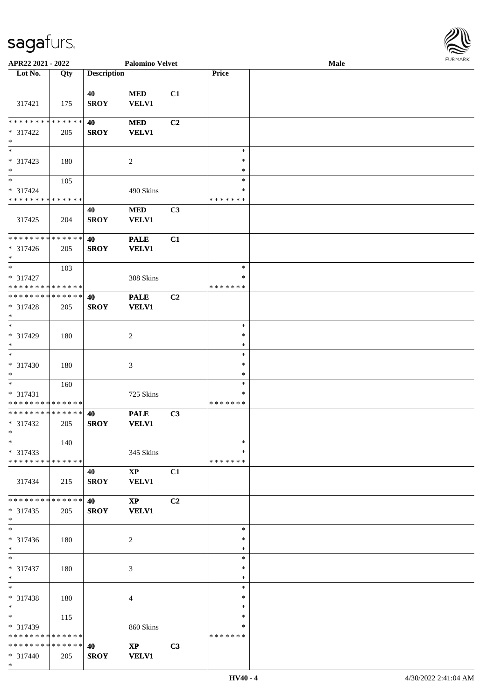

| APR22 2021 - 2022                  |     |                    | <b>Palomino Velvet</b> |    |               | Male |  |
|------------------------------------|-----|--------------------|------------------------|----|---------------|------|--|
| Lot No.                            | Qty | <b>Description</b> |                        |    | Price         |      |  |
|                                    |     |                    |                        |    |               |      |  |
|                                    |     | 40                 | $\bf MED$              | C1 |               |      |  |
| 317421                             | 175 | <b>SROY</b>        | <b>VELV1</b>           |    |               |      |  |
|                                    |     |                    |                        |    |               |      |  |
| * * * * * * * * * * * * * *        |     | 40                 | <b>MED</b>             | C2 |               |      |  |
|                                    |     |                    |                        |    |               |      |  |
| * 317422                           | 205 | <b>SROY</b>        | <b>VELV1</b>           |    |               |      |  |
| $\ast$<br>$\overline{\phantom{1}}$ |     |                    |                        |    |               |      |  |
|                                    |     |                    |                        |    | $\ast$        |      |  |
| * 317423                           | 180 |                    | $\overline{c}$         |    | $\ast$        |      |  |
| $\ast$                             |     |                    |                        |    | $\ast$        |      |  |
| $\overline{\phantom{a}^*}$         | 105 |                    |                        |    | $\ast$        |      |  |
| * 317424                           |     |                    | 490 Skins              |    | $\ast$        |      |  |
| * * * * * * * * * * * * * *        |     |                    |                        |    | * * * * * * * |      |  |
|                                    |     | 40                 | $\bf MED$              | C3 |               |      |  |
| 317425                             | 204 | <b>SROY</b>        | VELV1                  |    |               |      |  |
|                                    |     |                    |                        |    |               |      |  |
| ******** <mark>******</mark>       |     | 40                 | <b>PALE</b>            | C1 |               |      |  |
|                                    |     |                    |                        |    |               |      |  |
| $* 317426$                         | 205 | <b>SROY</b>        | <b>VELV1</b>           |    |               |      |  |
| $*$                                |     |                    |                        |    |               |      |  |
| $\ast$                             | 103 |                    |                        |    | $\ast$        |      |  |
| $* 317427$                         |     |                    | 308 Skins              |    | ∗             |      |  |
| * * * * * * * * * * * * * *        |     |                    |                        |    | * * * * * * * |      |  |
| * * * * * * * * * * * * * *        |     | 40                 | <b>PALE</b>            | C2 |               |      |  |
| * 317428                           | 205 | <b>SROY</b>        | <b>VELV1</b>           |    |               |      |  |
| $\ast$                             |     |                    |                        |    |               |      |  |
| $\ast$                             |     |                    |                        |    | $\ast$        |      |  |
| * 317429                           | 180 |                    | $\boldsymbol{2}$       |    | $\ast$        |      |  |
| $\ast$                             |     |                    |                        |    | $\ast$        |      |  |
| $\overline{\phantom{1}}$           |     |                    |                        |    | $\ast$        |      |  |
|                                    |     |                    |                        |    |               |      |  |
| $* 317430$                         | 180 |                    | $\mathfrak{Z}$         |    | $\ast$        |      |  |
| $\ast$                             |     |                    |                        |    | $\ast$        |      |  |
| $\ast$                             | 160 |                    |                        |    | $\ast$        |      |  |
| * 317431                           |     |                    | 725 Skins              |    | *             |      |  |
| ******** <mark>******</mark>       |     |                    |                        |    | * * * * * * * |      |  |
| ******** <mark>******</mark>       |     | 40                 | <b>PALE</b>            | C3 |               |      |  |
| * 317432                           | 205 | <b>SROY</b>        | <b>VELV1</b>           |    |               |      |  |
| $*$                                |     |                    |                        |    |               |      |  |
| $*$                                | 140 |                    |                        |    | $\ast$        |      |  |
| $* 317433$                         |     |                    | 345 Skins              |    | *             |      |  |
| * * * * * * * * * * * * * *        |     |                    |                        |    | * * * * * * * |      |  |
|                                    |     |                    |                        |    |               |      |  |
|                                    |     | 40                 | $\mathbf{X}\mathbf{P}$ | C1 |               |      |  |
| 317434                             | 215 | <b>SROY</b>        | <b>VELV1</b>           |    |               |      |  |
|                                    |     |                    |                        |    |               |      |  |
| * * * * * * * * * * * * * *        |     | <b>40</b>          | $\mathbf{X}\mathbf{P}$ | C2 |               |      |  |
| $* 317435$                         | 205 | <b>SROY</b>        | <b>VELV1</b>           |    |               |      |  |
| $*$                                |     |                    |                        |    |               |      |  |
| $\overline{\phantom{1}}$           |     |                    |                        |    | $\ast$        |      |  |
| * 317436                           | 180 |                    | $\overline{c}$         |    | *             |      |  |
| $*$                                |     |                    |                        |    | $\ast$        |      |  |
| $*$                                |     |                    |                        |    | $\ast$        |      |  |
| $* 317437$                         | 180 |                    | 3                      |    | $\ast$        |      |  |
|                                    |     |                    |                        |    | $\ast$        |      |  |
| $*$<br>$\ast$                      |     |                    |                        |    |               |      |  |
|                                    |     |                    |                        |    | $\ast$        |      |  |
| * 317438                           | 180 |                    | 4                      |    | $\ast$        |      |  |
| $*$                                |     |                    |                        |    | *             |      |  |
| $\overline{\phantom{0}}$           | 115 |                    |                        |    | $\ast$        |      |  |
| * 317439                           |     |                    | 860 Skins              |    | ∗             |      |  |
| * * * * * * * * * * * * * *        |     |                    |                        |    | * * * * * * * |      |  |
| * * * * * * * * * * * * * * *      |     | 40                 | $\mathbf{XP}$          | C3 |               |      |  |
| $* 317440$                         | 205 | <b>SROY</b>        | <b>VELV1</b>           |    |               |      |  |
| $*$                                |     |                    |                        |    |               |      |  |
|                                    |     |                    |                        |    |               |      |  |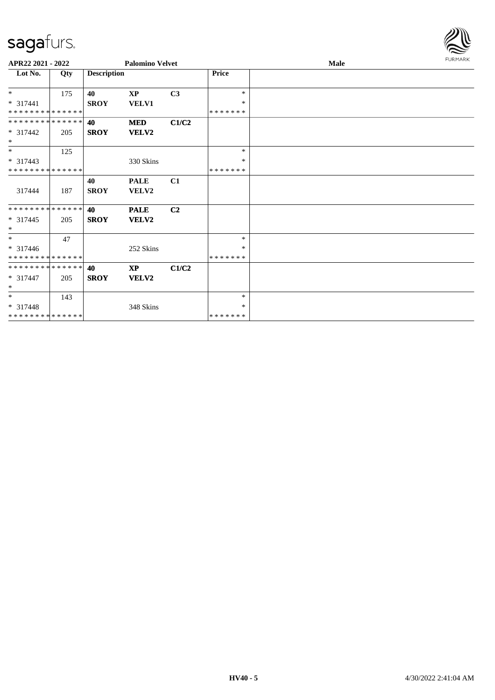#### sag

\* \* \* 317448

\* \* \* \* \* \* \* \* \* \* \* \* \* \*

143

348 Skins

| sagafurs.<br>APR22 2021 - 2022                      |     |                    | <b>Palomino Velvet</b>    |       |                              | Male | <b>FURMARK</b> |
|-----------------------------------------------------|-----|--------------------|---------------------------|-------|------------------------------|------|----------------|
| Lot No.                                             | Qty | <b>Description</b> |                           |       | Price                        |      |                |
| $\ast$<br>$* 317441$<br>**************              | 175 | 40<br><b>SROY</b>  | <b>XP</b><br><b>VELV1</b> | C3    | $\ast$<br>$\ast$<br>*******  |      |                |
| **************<br>$* 317442$<br>$\ast$              | 205 | 40<br><b>SROY</b>  | <b>MED</b><br>VELV2       | C1/C2 |                              |      |                |
| $\ast$<br>$* 317443$<br>* * * * * * * * * * * * * * | 125 |                    | 330 Skins                 |       | $*$<br>$\ast$<br>*******     |      |                |
| 317444                                              | 187 | 40<br><b>SROY</b>  | <b>PALE</b><br>VELV2      | C1    |                              |      |                |
| **************<br>$* 317445$<br>$\ast$              | 205 | 40<br><b>SROY</b>  | <b>PALE</b><br>VELV2      | C2    |                              |      |                |
| $\ast$<br>$* 317446$<br>* * * * * * * * * * * * * * | 47  |                    | 252 Skins                 |       | $\ast$<br>*<br>* * * * * * * |      |                |
| **************<br>$* 317447$                        | 205 | 40<br><b>SROY</b>  | $\mathbf{XP}$<br>VELV2    | C1/C2 |                              |      |                |

\* \*

\* \* \* \* \* \* \*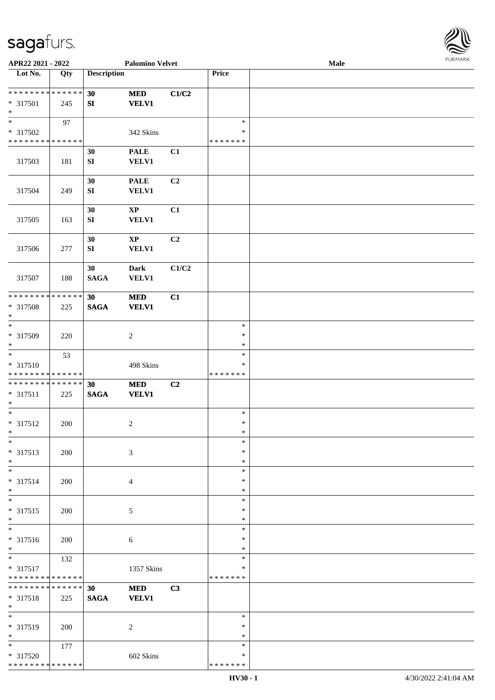

| APR22 2021 - 2022                                                   |     |                        | <b>Palomino Velvet</b>                 |                |                                   | Male | <b>FURMARK</b> |
|---------------------------------------------------------------------|-----|------------------------|----------------------------------------|----------------|-----------------------------------|------|----------------|
| Lot No.                                                             | Qty | <b>Description</b>     |                                        |                | Price                             |      |                |
| **************<br>$* 317501$<br>$\ast$                              | 245 | 30<br>${\bf SI}$       | $\bf MED$<br><b>VELV1</b>              | C1/C2          |                                   |      |                |
| $\ast$<br>* 317502<br>******** <mark>******</mark>                  | 97  |                        | 342 Skins                              |                | $\ast$<br>∗<br>* * * * * * *      |      |                |
| 317503                                                              | 181 | 30<br>${\bf SI}$       | <b>PALE</b><br><b>VELV1</b>            | C1             |                                   |      |                |
| 317504                                                              | 249 | 30<br>${\bf SI}$       | <b>PALE</b><br>VELV1                   | C2             |                                   |      |                |
| 317505                                                              | 163 | 30<br>${\bf SI}$       | $\mathbf{X}\mathbf{P}$<br><b>VELV1</b> | C1             |                                   |      |                |
| 317506                                                              | 277 | 30<br>${\bf S}{\bf I}$ | $\bold{XP}$<br><b>VELV1</b>            | C <sub>2</sub> |                                   |      |                |
| 317507                                                              | 188 | 30<br>$\mathbf{SAGA}$  | <b>Dark</b><br><b>VELV1</b>            | C1/C2          |                                   |      |                |
| **************<br>* 317508<br>$\ast$                                | 225 | 30<br><b>SAGA</b>      | $\bf MED$<br><b>VELV1</b>              | C1             |                                   |      |                |
| $\overline{\phantom{a}^*}$<br>* 317509<br>$\ast$                    | 220 |                        | $\overline{2}$                         |                | $\ast$<br>$\ast$<br>$\ast$        |      |                |
| $\ast$<br>* 317510<br>* * * * * * * * * * * * * *                   | 53  |                        | 498 Skins                              |                | $\ast$<br>$\ast$<br>* * * * * * * |      |                |
| **************<br>* 317511<br>$\ast$                                | 225 | 30<br><b>SAGA</b>      | $\bf MED$<br><b>VELV1</b>              | C2             |                                   |      |                |
| $\ast$<br>$* 317512$<br>$\ast$                                      | 200 |                        | $\boldsymbol{2}$                       |                | $\ast$<br>$\ast$<br>$\ast$        |      |                |
| $\ast$<br>* 317513<br>$\ast$                                        | 200 |                        | 3                                      |                | $\ast$<br>$\ast$<br>$\ast$        |      |                |
| $\ast$<br>* 317514<br>$\ast$                                        | 200 |                        | $\overline{4}$                         |                | $\ast$<br>$\ast$<br>*             |      |                |
| $\ast$<br>* 317515<br>$\ast$                                        | 200 |                        | 5                                      |                | $\ast$<br>$\ast$<br>$\ast$        |      |                |
| $\ast$<br>* 317516<br>$\ast$                                        | 200 |                        | 6                                      |                | $\ast$<br>*<br>$\ast$             |      |                |
| $\overline{\phantom{0}}$<br>* 317517<br>* * * * * * * * * * * * * * | 132 |                        | 1357 Skins                             |                | $\ast$<br>*<br>* * * * * * *      |      |                |
| * * * * * * * * * * * * * * *<br>* 317518<br>$\ast$                 | 225 | 30<br><b>SAGA</b>      | <b>MED</b><br><b>VELV1</b>             | C3             |                                   |      |                |
| $\ast$<br>* 317519<br>$\ast$                                        | 200 |                        | $\overline{c}$                         |                | $\ast$<br>$\ast$<br>$\ast$        |      |                |
| $\ast$<br>* 317520<br>******** <mark>******</mark>                  | 177 |                        | 602 Skins                              |                | $\ast$<br>*<br>* * * * * * *      |      |                |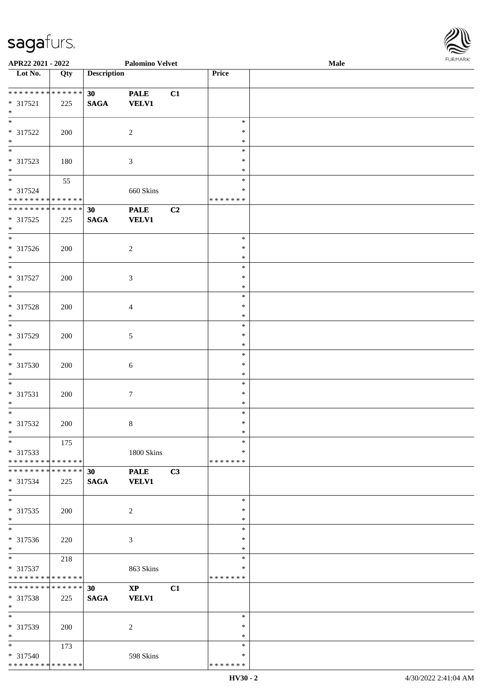\* \* \* \* \* \* \* \* \* \* \* \* \* \*

| APR22 2021 - 2022             |             |                    | <b>Palomino Velvet</b> |    |               | <b>Male</b> |  |
|-------------------------------|-------------|--------------------|------------------------|----|---------------|-------------|--|
| Lot No.                       | Qty         | <b>Description</b> |                        |    | Price         |             |  |
|                               |             |                    |                        |    |               |             |  |
| * * * * * * * * * * * * * *   |             | 30 <sup>°</sup>    | <b>PALE</b>            | C1 |               |             |  |
| $* 317521$                    | 225         | <b>SAGA</b>        | <b>VELV1</b>           |    |               |             |  |
| $\ast$                        |             |                    |                        |    |               |             |  |
| $\overline{\ast}$             |             |                    |                        |    | $\ast$        |             |  |
| * 317522                      | 200         |                    | $\sqrt{2}$             |    | $\ast$        |             |  |
| $\ast$                        |             |                    |                        |    | $\ast$        |             |  |
| $\overline{\phantom{0}}$      |             |                    |                        |    | $\ast$        |             |  |
| * 317523                      | 180         |                    | $\mathfrak{Z}$         |    | $\ast$        |             |  |
| $*$                           |             |                    |                        |    | $\ast$        |             |  |
| $\overline{\phantom{0}}$      | 55          |                    |                        |    | $\ast$        |             |  |
| * 317524                      |             |                    | 660 Skins              |    | ∗             |             |  |
| * * * * * * * * * * * * * *   |             |                    |                        |    | * * * * * * * |             |  |
| * * * * * * * * *             | * * * * * * | 30                 | <b>PALE</b>            | C2 |               |             |  |
| $* 317525$                    | 225         | <b>SAGA</b>        | <b>VELV1</b>           |    |               |             |  |
| $*$                           |             |                    |                        |    |               |             |  |
| $\overline{\ast}$             |             |                    |                        |    | $\ast$        |             |  |
| $* 317526$                    | 200         |                    | $\sqrt{2}$             |    | $\ast$        |             |  |
| $*$                           |             |                    |                        |    | $\ast$        |             |  |
| $\ast$                        |             |                    |                        |    | $\ast$        |             |  |
| $* 317527$                    | 200         |                    |                        |    | $\ast$        |             |  |
| $\ast$                        |             |                    | 3                      |    | $\ast$        |             |  |
| $\ast$                        |             |                    |                        |    | $\ast$        |             |  |
|                               |             |                    |                        |    | $\ast$        |             |  |
| * 317528<br>$\ast$            | 200         |                    | $\overline{4}$         |    | $\ast$        |             |  |
| $\overline{\ast}$             |             |                    |                        |    |               |             |  |
|                               |             |                    |                        |    | $\ast$        |             |  |
| * 317529                      | 200         |                    | $\sqrt{5}$             |    | $\ast$        |             |  |
| $*$<br>$\overline{\ast}$      |             |                    |                        |    | $\ast$        |             |  |
|                               |             |                    |                        |    | $\ast$        |             |  |
| $* 317530$                    | 200         |                    | $\sqrt{6}$             |    | $\ast$        |             |  |
| $*$                           |             |                    |                        |    | $\ast$        |             |  |
| $*$                           |             |                    |                        |    | $\ast$        |             |  |
| $* 317531$                    | 200         |                    | $\boldsymbol{7}$       |    | $\ast$        |             |  |
| $\ast$                        |             |                    |                        |    | $\ast$        |             |  |
| $\ast$                        |             |                    |                        |    | $\ast$        |             |  |
| $* 317532$                    | 200         |                    | 8                      |    | $\ast$        |             |  |
| $*$                           |             |                    |                        |    | $\ast$        |             |  |
| $*$                           | 175         |                    |                        |    | $\ast$        |             |  |
| * 317533                      |             |                    | 1800 Skins             |    | ∗             |             |  |
| * * * * * * * * * * * * * *   |             |                    |                        |    | * * * * * * * |             |  |
| * * * * * * * * * * * * * * * |             | 30                 | <b>PALE</b>            | C3 |               |             |  |
| * 317534                      | 225         | <b>SAGA</b>        | <b>VELV1</b>           |    |               |             |  |
| $*$                           |             |                    |                        |    |               |             |  |
| $\overline{\ast}$             |             |                    |                        |    | $\ast$        |             |  |
| $* 317535$                    | 200         |                    | $\sqrt{2}$             |    | ∗             |             |  |
| $*$                           |             |                    |                        |    | $\ast$        |             |  |
| $\overline{\phantom{a}^*}$    |             |                    |                        |    | $\ast$        |             |  |
| * 317536                      | 220         |                    | $\mathfrak{Z}$         |    | $\ast$        |             |  |
| $*$                           |             |                    |                        |    | $\ast$        |             |  |
| $*$                           | 218         |                    |                        |    | $\ast$        |             |  |
| * 317537                      |             |                    | 863 Skins              |    | ∗             |             |  |
| * * * * * * * * * * * * * *   |             |                    |                        |    | *******       |             |  |
| ******** <mark>******</mark>  |             | 30                 | $\mathbf{XP}$          | C1 |               |             |  |
| * 317538                      | 225         | <b>SAGA</b>        | <b>VELV1</b>           |    |               |             |  |
| $*$                           |             |                    |                        |    |               |             |  |
| $\overline{\phantom{0}}$      |             |                    |                        |    | $\ast$        |             |  |
|                               |             |                    |                        |    |               |             |  |
| * 317539                      | 200         |                    | $\overline{c}$         |    | $\ast$        |             |  |
| $*$                           |             |                    |                        |    | $\ast$        |             |  |
| $*$                           | 173         |                    |                        |    | $\ast$        |             |  |
| * 317540                      |             |                    | 598 Skins              |    | $\ast$        |             |  |



\* \* \* \* \* \* \*

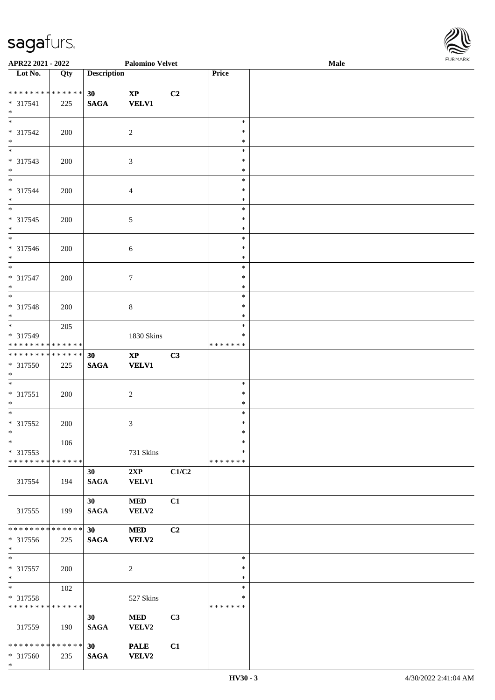\*

| APR22 2021 - 2022                          |     |                    | <b>Palomino Velvet</b> |                |                  | Male | <b>FURPIARR</b> |
|--------------------------------------------|-----|--------------------|------------------------|----------------|------------------|------|-----------------|
| Lot No.                                    | Qty | <b>Description</b> |                        |                | Price            |      |                 |
|                                            |     |                    |                        |                |                  |      |                 |
|                                            |     | 30                 | $\mathbf{X}\mathbf{P}$ | C2             |                  |      |                 |
| $* 317541$<br>$\ast$                       | 225 | <b>SAGA</b>        | <b>VELV1</b>           |                |                  |      |                 |
|                                            |     |                    |                        |                | $\ast$           |      |                 |
| * 317542                                   | 200 |                    | $\overline{c}$         |                | $\ast$           |      |                 |
| $*$                                        |     |                    |                        |                | $\ast$           |      |                 |
|                                            |     |                    |                        |                | $\ast$           |      |                 |
| * 317543                                   | 200 |                    | $\mathfrak{Z}$         |                | $\ast$           |      |                 |
| $*$                                        |     |                    |                        |                | $\ast$           |      |                 |
| $\overline{\phantom{0}}$                   |     |                    |                        |                | $\ast$           |      |                 |
| * 317544                                   | 200 |                    | $\overline{4}$         |                | $\ast$           |      |                 |
| $\ast$                                     |     |                    |                        |                | *                |      |                 |
| $\overline{\ast}$                          |     |                    |                        |                | $\ast$           |      |                 |
| * 317545                                   | 200 |                    | $\sqrt{5}$             |                | $\ast$           |      |                 |
| $\ast$                                     |     |                    |                        |                | ∗                |      |                 |
|                                            |     |                    |                        |                | $\ast$           |      |                 |
| * 317546                                   | 200 |                    | $\sqrt{6}$             |                | $\ast$           |      |                 |
| $*$                                        |     |                    |                        |                | $\ast$           |      |                 |
| $*$                                        |     |                    |                        |                | $\ast$           |      |                 |
| * 317547                                   | 200 |                    | $\tau$                 |                | $\ast$           |      |                 |
| $\ast$<br>$\overline{\ }$                  |     |                    |                        |                | $\ast$           |      |                 |
|                                            |     |                    |                        |                | $\ast$           |      |                 |
| * 317548                                   | 200 |                    | $\,8\,$                |                | $\ast$<br>$\ast$ |      |                 |
| $*$<br>$\overline{\phantom{0}}$            |     |                    |                        |                | $\ast$           |      |                 |
| * 317549                                   | 205 |                    |                        |                | *                |      |                 |
| * * * * * * * * <mark>* * * * * *</mark>   |     |                    | 1830 Skins             |                | * * * * * * *    |      |                 |
| * * * * * * * * <mark>* * * * * * *</mark> |     | 30                 | $\mathbf{XP}$          | C3             |                  |      |                 |
| * 317550                                   | 225 | <b>SAGA</b>        | <b>VELV1</b>           |                |                  |      |                 |
| $\ast$                                     |     |                    |                        |                |                  |      |                 |
| $\overline{\phantom{0}}$                   |     |                    |                        |                | $\ast$           |      |                 |
| * 317551                                   | 200 |                    | $\overline{c}$         |                | $\ast$           |      |                 |
| $\ast$                                     |     |                    |                        |                | ∗                |      |                 |
| $\ddot{x}$                                 |     |                    |                        |                | $\ast$           |      |                 |
| * 317552                                   | 200 |                    | 3                      |                | $\ast$           |      |                 |
| $*$ $-$                                    |     |                    |                        |                | *                |      |                 |
| $\ast$                                     | 106 |                    |                        |                | $\ast$           |      |                 |
| * 317553                                   |     |                    | 731 Skins              |                | $\ast$           |      |                 |
| * * * * * * * * <mark>* * * * * *</mark> * |     |                    |                        |                | *******          |      |                 |
|                                            |     | 30 <sup>°</sup>    | 2XP                    | C1/C2          |                  |      |                 |
| 317554                                     | 194 | <b>SAGA</b>        | <b>VELV1</b>           |                |                  |      |                 |
|                                            |     | 30 <sup>1</sup>    | <b>MED</b>             | C1             |                  |      |                 |
| 317555                                     | 199 | <b>SAGA</b>        | VELV2                  |                |                  |      |                 |
|                                            |     |                    |                        |                |                  |      |                 |
| * * * * * * * * <mark>* * * * * * *</mark> |     | 30 <sup>°</sup>    | <b>MED</b>             | C2             |                  |      |                 |
| * 317556                                   | 225 | <b>SAGA</b>        | <b>VELV2</b>           |                |                  |      |                 |
| $\ast$                                     |     |                    |                        |                |                  |      |                 |
| $\overline{\ast}$                          |     |                    |                        |                | $\ast$           |      |                 |
| * 317557                                   | 200 |                    | 2                      |                | ∗                |      |                 |
| $\ast$                                     |     |                    |                        |                | $\ast$           |      |                 |
| $\ddot{x}$                                 | 102 |                    |                        |                | $\ast$           |      |                 |
| * 317558                                   |     |                    | 527 Skins              |                | ∗                |      |                 |
| * * * * * * * * <mark>* * * * * * *</mark> |     |                    |                        |                | * * * * * * *    |      |                 |
|                                            |     | 30 <sup>°</sup>    | <b>MED</b>             | C <sub>3</sub> |                  |      |                 |
| 317559                                     | 190 | <b>SAGA</b>        | VELV2                  |                |                  |      |                 |
| * * * * * * * * <mark>* * * * * * *</mark> |     |                    |                        |                |                  |      |                 |
|                                            |     | 30 <sub>o</sub>    | <b>PALE</b>            | C1             |                  |      |                 |
| * 317560                                   | 235 | <b>SAGA</b>        | <b>VELV2</b>           |                |                  |      |                 |

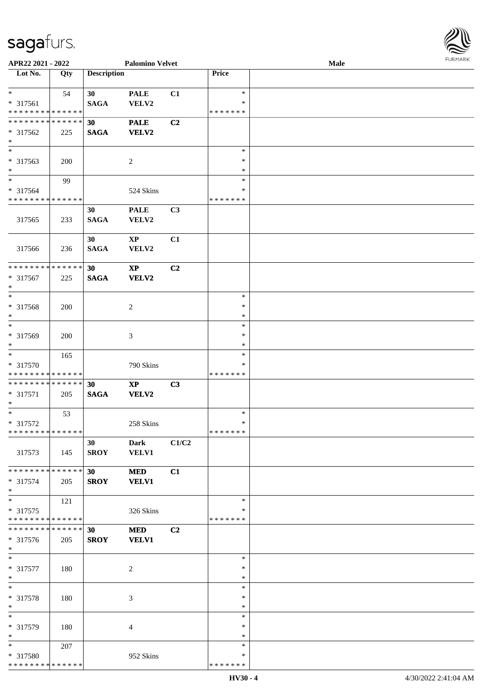| APR22 2021 - 2022                          |     |                    | <b>Palomino Velvet</b>          |                |                  | Male | <b>FURPIARR</b> |
|--------------------------------------------|-----|--------------------|---------------------------------|----------------|------------------|------|-----------------|
| Lot No.                                    | Qty | <b>Description</b> |                                 |                | Price            |      |                 |
| $*$                                        | 54  | 30                 | <b>PALE</b>                     | C1             | $\ast$           |      |                 |
| * 317561                                   |     | <b>SAGA</b>        | VELV2                           |                | $\ast$           |      |                 |
| * * * * * * * * <mark>* * * * * * *</mark> |     |                    |                                 |                | * * * * * * *    |      |                 |
| * * * * * * * * * * * * * * *              |     | 30                 | <b>PALE</b>                     | C2             |                  |      |                 |
| * 317562<br>$*$                            | 225 | <b>SAGA</b>        | VELV2                           |                |                  |      |                 |
| $*$                                        |     |                    |                                 |                | $\ast$           |      |                 |
| * 317563                                   | 200 |                    | 2                               |                | ∗                |      |                 |
| $*$                                        |     |                    |                                 |                | $\ast$<br>$\ast$ |      |                 |
| $*$<br>* 317564                            | 99  |                    | 524 Skins                       |                | ∗                |      |                 |
| * * * * * * * * * * * * * *                |     |                    |                                 |                | * * * * * * *    |      |                 |
|                                            |     | 30                 | <b>PALE</b>                     | C <sub>3</sub> |                  |      |                 |
| 317565                                     | 233 | <b>SAGA</b>        | VELV2                           |                |                  |      |                 |
|                                            |     | 30                 | $\mathbf{X}\mathbf{P}$          | C1             |                  |      |                 |
| 317566                                     | 236 | <b>SAGA</b>        | VELV2                           |                |                  |      |                 |
|                                            |     |                    |                                 |                |                  |      |                 |
| * * * * * * * * * * * * * * *              |     | 30                 | $\mathbf{XP}$                   | C <sub>2</sub> |                  |      |                 |
| * 317567<br>$*$                            | 225 | <b>SAGA</b>        | VELV2                           |                |                  |      |                 |
| $*$                                        |     |                    |                                 |                | $\ast$           |      |                 |
| * 317568                                   | 200 |                    | 2                               |                | $\ast$           |      |                 |
| $*$                                        |     |                    |                                 |                | $\ast$           |      |                 |
| $*$                                        |     |                    |                                 |                | $\ast$<br>∗      |      |                 |
| * 317569<br>$*$                            | 200 |                    | 3                               |                | $\ast$           |      |                 |
| $\ast$                                     | 165 |                    |                                 |                | $\ast$           |      |                 |
| * 317570                                   |     |                    | 790 Skins                       |                | ∗                |      |                 |
| * * * * * * * * * * * * * *                |     |                    |                                 |                | * * * * * * *    |      |                 |
| * * * * * * * * * * * * * * *<br>* 317571  | 205 | 30<br><b>SAGA</b>  | $\mathbf{X}\mathbf{P}$<br>VELV2 | C3             |                  |      |                 |
| $\ast$                                     |     |                    |                                 |                |                  |      |                 |
|                                            | 53  |                    |                                 |                | $\ast$           |      |                 |
| $* 317572$<br>* * * * * * * * * * * * * *  |     |                    | 258 Skins                       |                | $\ast$           |      |                 |
|                                            |     | 30                 | Dark                            | C1/C2          | *******          |      |                 |
| 317573                                     | 145 | <b>SROY</b>        | <b>VELV1</b>                    |                |                  |      |                 |
|                                            |     |                    |                                 |                |                  |      |                 |
| * * * * * * * * * * * * * * *              |     | 30                 | <b>MED</b>                      | C1             |                  |      |                 |
| * 317574<br>$*$                            | 205 | <b>SROY</b>        | <b>VELV1</b>                    |                |                  |      |                 |
| $*$                                        | 121 |                    |                                 |                | $\ast$           |      |                 |
| * 317575                                   |     |                    | 326 Skins                       |                | ∗                |      |                 |
| * * * * * * * * * * * * * * *              |     |                    |                                 |                | * * * * * * *    |      |                 |
| **************                             |     | 30                 | <b>MED</b><br><b>VELV1</b>      | C2             |                  |      |                 |
| * 317576<br>$*$                            | 205 | <b>SROY</b>        |                                 |                |                  |      |                 |
| $*$                                        |     |                    |                                 |                | $\ast$           |      |                 |
| * 317577                                   | 180 |                    | 2                               |                | $\ast$           |      |                 |
| $*$                                        |     |                    |                                 |                | $\ast$           |      |                 |
| $*$<br>* 317578                            | 180 |                    | 3                               |                | $\ast$<br>$\ast$ |      |                 |
| $*$                                        |     |                    |                                 |                | $\ast$           |      |                 |
| $*$                                        |     |                    |                                 |                | $\ast$           |      |                 |
| * 317579                                   | 180 |                    | 4                               |                | $\ast$           |      |                 |
| $*$<br>$*$                                 |     |                    |                                 |                | $\ast$<br>$\ast$ |      |                 |
| * 317580                                   | 207 |                    | 952 Skins                       |                | ∗                |      |                 |
| ******** <mark>******</mark>               |     |                    |                                 |                | * * * * * * *    |      |                 |

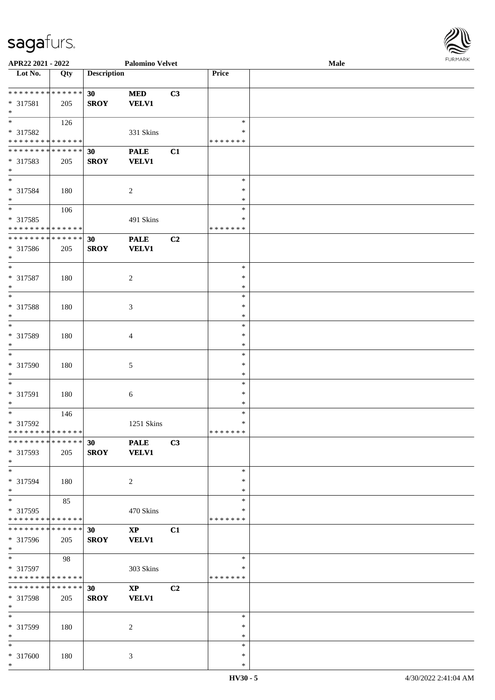\*

| APR22 2021 - 2022                       |                   |                    | <b>Palomino Velvet</b> |    |                    | Male | $\sim$ |
|-----------------------------------------|-------------------|--------------------|------------------------|----|--------------------|------|--------|
| $\overline{\phantom{1}}$ Lot No.        | $\overline{Q}$ ty | <b>Description</b> |                        |    | Price              |      |        |
|                                         |                   |                    |                        |    |                    |      |        |
| **************                          |                   | 30 <sup>°</sup>    | <b>MED</b>             | C3 |                    |      |        |
| * 317581                                | 205               | <b>SROY</b>        | <b>VELV1</b>           |    |                    |      |        |
| $\ast$                                  |                   |                    |                        |    |                    |      |        |
| $\ast$                                  | 126               |                    |                        |    | $\ast$             |      |        |
| * 317582                                |                   |                    | 331 Skins              |    | ∗                  |      |        |
| * * * * * * * * * * * * * *             |                   |                    |                        |    | * * * * * * *      |      |        |
| * * * * * * * * * * * * * *             |                   | 30                 | <b>PALE</b>            | C1 |                    |      |        |
| * 317583                                | 205               | <b>SROY</b>        | <b>VELV1</b>           |    |                    |      |        |
| $\ast$                                  |                   |                    |                        |    |                    |      |        |
| $\ast$                                  |                   |                    |                        |    | $\ast$             |      |        |
| * 317584                                | 180               |                    | $\sqrt{2}$             |    | $\ast$             |      |        |
| $\ast$                                  |                   |                    |                        |    | $\ast$             |      |        |
| $\overline{\phantom{1}}$                | 106               |                    |                        |    | $\ast$             |      |        |
| * 317585                                |                   |                    | 491 Skins              |    | ∗                  |      |        |
| * * * * * * * * * * * * * *             |                   |                    |                        |    | * * * * * * *      |      |        |
| * * * * * * * * * * * * * *             |                   | 30                 | <b>PALE</b>            | C2 |                    |      |        |
|                                         |                   |                    | <b>VELV1</b>           |    |                    |      |        |
| * 317586<br>$\ast$                      | 205               | <b>SROY</b>        |                        |    |                    |      |        |
| $\overline{\phantom{1}}$                |                   |                    |                        |    | $\ast$             |      |        |
|                                         |                   |                    |                        |    |                    |      |        |
| $* 317587$                              | 180               |                    | $\sqrt{2}$             |    | $\ast$             |      |        |
| $\ast$<br>$\overline{\ast}$             |                   |                    |                        |    | $\ast$             |      |        |
|                                         |                   |                    |                        |    | $\ast$             |      |        |
| $* 317588$                              | 180               |                    | $\mathfrak{Z}$         |    | $\ast$             |      |        |
| $\ast$                                  |                   |                    |                        |    | $\ast$             |      |        |
| $\ast$                                  |                   |                    |                        |    | $\ast$             |      |        |
| * 317589                                | 180               |                    | $\overline{4}$         |    | $\ast$             |      |        |
| $\ast$                                  |                   |                    |                        |    | $\ast$             |      |        |
| $\ast$                                  |                   |                    |                        |    | $\ast$             |      |        |
| * 317590                                | 180               |                    | 5                      |    | $\ast$             |      |        |
| $\ast$                                  |                   |                    |                        |    | $\ast$             |      |        |
| $\overline{\phantom{1}}$                |                   |                    |                        |    | $\ast$             |      |        |
| * 317591                                | 180               |                    | $\sqrt{6}$             |    | $\ast$             |      |        |
| $\ast$                                  |                   |                    |                        |    | $\ast$             |      |        |
| $\overline{\phantom{a}^*}$              | 146               |                    |                        |    | $\ast$             |      |        |
| $* 317592$                              |                   |                    | 1251 Skins             |    | $\ast$             |      |        |
| **************                          |                   |                    |                        |    | *******            |      |        |
| * * * * * * * * * * * * * *             |                   | 30 <sub>1</sub>    | <b>PALE</b>            | C3 |                    |      |        |
| * 317593                                | 205               | <b>SROY</b>        | <b>VELV1</b>           |    |                    |      |        |
| $*$                                     |                   |                    |                        |    |                    |      |        |
| $\overline{\phantom{a}^*}$              |                   |                    |                        |    | $\ast$             |      |        |
| * 317594                                | 180               |                    | 2                      |    | ∗                  |      |        |
| $*$                                     |                   |                    |                        |    | $\ast$             |      |        |
| $\ast$                                  | 85                |                    |                        |    | $\ast$             |      |        |
| * 317595                                |                   |                    | 470 Skins              |    | *                  |      |        |
| * * * * * * * * * * * * * *             |                   |                    |                        |    | * * * * * * *      |      |        |
| * * * * * * * * * * * * * * *           |                   | 30                 | $\mathbf{X}\mathbf{P}$ | C1 |                    |      |        |
| * 317596                                | 205               | <b>SROY</b>        | <b>VELV1</b>           |    |                    |      |        |
| $*$                                     |                   |                    |                        |    |                    |      |        |
| $\ast$                                  | 98                |                    |                        |    | $\ast$             |      |        |
|                                         |                   |                    |                        |    |                    |      |        |
| * 317597<br>* * * * * * * * * * * * * * |                   |                    | 303 Skins              |    | *<br>* * * * * * * |      |        |
|                                         |                   |                    |                        |    |                    |      |        |
| * * * * * * * * * * * * * * *           |                   | 30                 | $\mathbf{X}\mathbf{P}$ | C2 |                    |      |        |
| * 317598                                | 205               | <b>SROY</b>        | <b>VELV1</b>           |    |                    |      |        |
| $*$                                     |                   |                    |                        |    |                    |      |        |
| $\ast$                                  |                   |                    |                        |    | $\ast$             |      |        |
| * 317599                                | 180               |                    | 2                      |    | $\ast$             |      |        |
| $*$                                     |                   |                    |                        |    | $\ast$             |      |        |
| $\ast$                                  |                   |                    |                        |    | $\ast$             |      |        |
| * 317600                                | 180               |                    | $\mathfrak{Z}$         |    | $\ast$             |      |        |

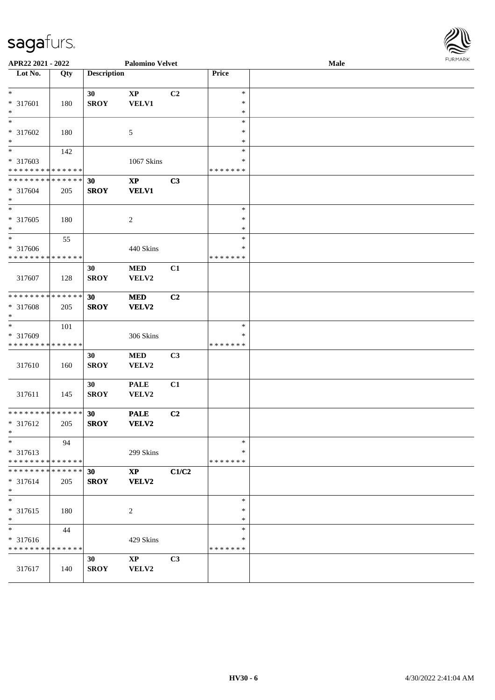| APR22 2021 - 2022                          |             |                    | <b>Palomino Velvet</b> |       |               | Male | <b>FURPIARR</b> |
|--------------------------------------------|-------------|--------------------|------------------------|-------|---------------|------|-----------------|
| Lot No.                                    | Qty         | <b>Description</b> |                        |       | Price         |      |                 |
| $\ast$                                     |             | 30                 | $\bold{XP}$            | C2    | $\ast$        |      |                 |
| * 317601                                   | 180         | <b>SROY</b>        | <b>VELV1</b>           |       | $\ast$        |      |                 |
| $\ast$                                     |             |                    |                        |       | $\ast$        |      |                 |
| $\ast$                                     |             |                    |                        |       | $\ast$        |      |                 |
| * 317602                                   | 180         |                    | 5                      |       | $\ast$        |      |                 |
| $\ast$                                     |             |                    |                        |       | $\ast$        |      |                 |
| $\overline{\phantom{0}}$                   | 142         |                    |                        |       | $\ast$        |      |                 |
| * 317603                                   |             |                    | 1067 Skins             |       | ∗             |      |                 |
| * * * * * * * * <mark>* * * * * * *</mark> |             |                    |                        |       | * * * * * * * |      |                 |
| * * * * * * * * <mark>* * * * * * *</mark> |             | 30                 | $\mathbf{XP}$          | C3    |               |      |                 |
| * 317604                                   | 205         | <b>SROY</b>        | <b>VELV1</b>           |       |               |      |                 |
| $\ast$                                     |             |                    |                        |       |               |      |                 |
| $\overline{\phantom{0}}$                   |             |                    |                        |       | $\ast$        |      |                 |
| * 317605                                   | 180         |                    | 2                      |       | $\ast$        |      |                 |
| $\ast$                                     |             |                    |                        |       | $\ast$        |      |                 |
|                                            | 55          |                    |                        |       | $\ast$        |      |                 |
| * 317606                                   |             |                    | 440 Skins              |       | ∗             |      |                 |
| * * * * * * * * <mark>* * * * * * *</mark> |             |                    |                        |       | * * * * * * * |      |                 |
|                                            |             | 30                 | <b>MED</b>             | C1    |               |      |                 |
| 317607                                     | 128         | <b>SROY</b>        | VELV2                  |       |               |      |                 |
|                                            |             |                    |                        |       |               |      |                 |
| * * * * * * * * <mark>* * * * * * *</mark> |             | 30                 | <b>MED</b>             | C2    |               |      |                 |
| * 317608                                   | 205         | <b>SROY</b>        | VELV2                  |       |               |      |                 |
| *                                          |             |                    |                        |       |               |      |                 |
| $\overline{\ast}$                          | 101         |                    |                        |       | $\ast$        |      |                 |
| * 317609                                   |             |                    | 306 Skins              |       | ∗             |      |                 |
| * * * * * * * * <mark>* * * * * * *</mark> |             |                    |                        |       | * * * * * * * |      |                 |
|                                            |             | 30                 | <b>MED</b>             | C3    |               |      |                 |
| 317610                                     | 160         | <b>SROY</b>        | VELV2                  |       |               |      |                 |
|                                            |             |                    |                        |       |               |      |                 |
|                                            |             | 30                 | <b>PALE</b>            | C1    |               |      |                 |
| 317611                                     | 145         | <b>SROY</b>        | VELV2                  |       |               |      |                 |
|                                            |             |                    |                        |       |               |      |                 |
| * * * * * * * *                            | * * * * * * | 30                 | <b>PALE</b>            | C2    |               |      |                 |
| * 317612                                   | 205         | <b>SROY</b>        | VELV2                  |       |               |      |                 |
| $*$ $-$                                    |             |                    |                        |       |               |      |                 |
| $\ast$                                     | 94          |                    |                        |       | $\ast$        |      |                 |
| * 317613                                   |             |                    | 299 Skins              |       | *             |      |                 |
| * * * * * * * * <mark>* * * * * * *</mark> |             |                    |                        |       | * * * * * * * |      |                 |
| * * * * * * * *                            | * * * * * * | 30                 | $\mathbf{XP}$          | C1/C2 |               |      |                 |
| * 317614                                   | 205         | <b>SROY</b>        | <b>VELV2</b>           |       |               |      |                 |
| $\ast$                                     |             |                    |                        |       |               |      |                 |
| $\ast$                                     |             |                    |                        |       | $\ast$        |      |                 |
| * 317615                                   | 180         |                    | 2                      |       | ∗             |      |                 |
| $*$                                        |             |                    |                        |       | ∗             |      |                 |
| $\ast$                                     | 44          |                    |                        |       | $\ast$        |      |                 |
| * 317616                                   |             |                    | 429 Skins              |       | ∗             |      |                 |
| * * * * * * * * <mark>* * * * * * *</mark> |             |                    |                        |       | * * * * * * * |      |                 |
|                                            |             | 30                 | $\mathbf{X}\mathbf{P}$ | C3    |               |      |                 |
| 317617                                     | 140         | <b>SROY</b>        | VELV2                  |       |               |      |                 |
|                                            |             |                    |                        |       |               |      |                 |

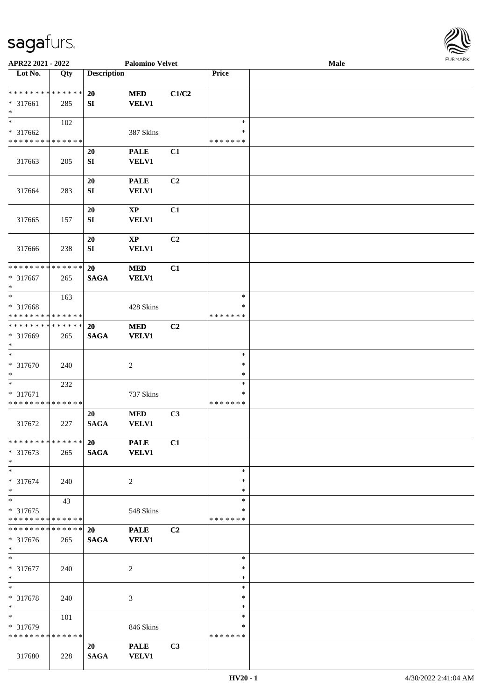

| APR22 2021 - 2022                       |     |                    | <b>Palomino Velvet</b>      |                |                  | Male |  |
|-----------------------------------------|-----|--------------------|-----------------------------|----------------|------------------|------|--|
| Lot No.                                 | Qty | <b>Description</b> |                             |                | Price            |      |  |
|                                         |     |                    |                             |                |                  |      |  |
| **************                          |     | <b>20</b>          | <b>MED</b>                  | C1/C2          |                  |      |  |
| * 317661                                | 285 | SI                 | <b>VELV1</b>                |                |                  |      |  |
| $\ast$                                  |     |                    |                             |                |                  |      |  |
| $\overline{\phantom{0}}$                | 102 |                    |                             |                | $\ast$           |      |  |
| * 317662                                |     |                    | 387 Skins                   |                | ∗                |      |  |
| * * * * * * * * * * * * * *             |     |                    |                             |                | * * * * * * *    |      |  |
|                                         |     | 20                 | <b>PALE</b>                 | C1             |                  |      |  |
| 317663                                  | 205 | ${\bf SI}$         | VELV1                       |                |                  |      |  |
|                                         |     |                    |                             |                |                  |      |  |
|                                         |     | 20                 | <b>PALE</b>                 | C <sub>2</sub> |                  |      |  |
| 317664                                  | 283 | ${\bf S}{\bf I}$   | VELV1                       |                |                  |      |  |
|                                         |     |                    |                             |                |                  |      |  |
|                                         |     | 20                 | $\bold{XP}$                 | C1             |                  |      |  |
| 317665                                  | 157 | SI                 | VELV1                       |                |                  |      |  |
|                                         |     |                    |                             |                |                  |      |  |
|                                         |     | 20                 | $\bold{XP}$                 | C <sub>2</sub> |                  |      |  |
| 317666                                  | 238 | SI                 | VELV1                       |                |                  |      |  |
|                                         |     |                    |                             |                |                  |      |  |
| ******** <mark>******</mark>            |     | 20                 | <b>MED</b>                  | C1             |                  |      |  |
| * 317667                                | 265 | <b>SAGA</b>        | <b>VELV1</b>                |                |                  |      |  |
| $\ast$                                  |     |                    |                             |                |                  |      |  |
| $\ast$                                  | 163 |                    |                             |                | $\ast$           |      |  |
|                                         |     |                    |                             |                | ∗                |      |  |
| * 317668<br>* * * * * * * * * * * * * * |     |                    | 428 Skins                   |                | * * * * * * *    |      |  |
| * * * * * * * * * * * * * *             |     |                    |                             |                |                  |      |  |
|                                         |     | 20                 | <b>MED</b>                  | C <sub>2</sub> |                  |      |  |
| * 317669<br>$\ast$                      | 265 | <b>SAGA</b>        | <b>VELV1</b>                |                |                  |      |  |
| $\ast$                                  |     |                    |                             |                | $\ast$           |      |  |
|                                         |     |                    |                             |                | $\ast$           |      |  |
| $* 317670$                              | 240 |                    | $\boldsymbol{2}$            |                |                  |      |  |
| $\ast$<br>$\ast$                        |     |                    |                             |                | $\ast$<br>$\ast$ |      |  |
|                                         | 232 |                    |                             |                | $\ast$           |      |  |
| * 317671<br>* * * * * * * * * * * * * * |     |                    | 737 Skins                   |                | * * * * * * *    |      |  |
|                                         |     |                    |                             |                |                  |      |  |
|                                         |     | 20                 | $\bf MED$                   | C3             |                  |      |  |
| 317672                                  | 227 | <b>SAGA</b>        | <b>VELV1</b>                |                |                  |      |  |
|                                         |     |                    |                             |                |                  |      |  |
| * * * * * * * * * * * * * * *           |     | 20                 | <b>PALE</b>                 | C1             |                  |      |  |
| * 317673                                | 265 | <b>SAGA</b>        | <b>VELV1</b>                |                |                  |      |  |
| $*$                                     |     |                    |                             |                |                  |      |  |
| $*$                                     |     |                    |                             |                | $\ast$           |      |  |
| * 317674                                | 240 |                    | $\overline{2}$              |                | *                |      |  |
| $*$<br>$\ast$                           |     |                    |                             |                | *                |      |  |
|                                         | 43  |                    |                             |                | $\ast$           |      |  |
| * 317675                                |     |                    | 548 Skins                   |                | ∗                |      |  |
| * * * * * * * * * * * * * *             |     |                    |                             |                | * * * * * * *    |      |  |
| **************                          |     | 20                 | <b>PALE</b>                 | C <sub>2</sub> |                  |      |  |
| $* 317676$                              | 265 | <b>SAGA</b>        | <b>VELV1</b>                |                |                  |      |  |
| $*$                                     |     |                    |                             |                |                  |      |  |
| $*$                                     |     |                    |                             |                | $\ast$           |      |  |
| * 317677                                | 240 |                    | $\boldsymbol{2}$            |                | $\ast$           |      |  |
| $*$                                     |     |                    |                             |                | $\ast$           |      |  |
| $\ast$                                  |     |                    |                             |                | $\ast$           |      |  |
| * 317678                                | 240 |                    | 3                           |                | $\ast$           |      |  |
| $\ast$<br>$\overline{\phantom{0}}$      |     |                    |                             |                | $\ast$           |      |  |
|                                         | 101 |                    |                             |                | $\ast$           |      |  |
| * 317679                                |     |                    | 846 Skins                   |                | ∗                |      |  |
|                                         |     |                    |                             |                |                  |      |  |
| * * * * * * * * * * * * * *             |     |                    |                             |                | * * * * * * *    |      |  |
| 317680                                  | 228 | 20<br><b>SAGA</b>  | <b>PALE</b><br><b>VELV1</b> | C3             |                  |      |  |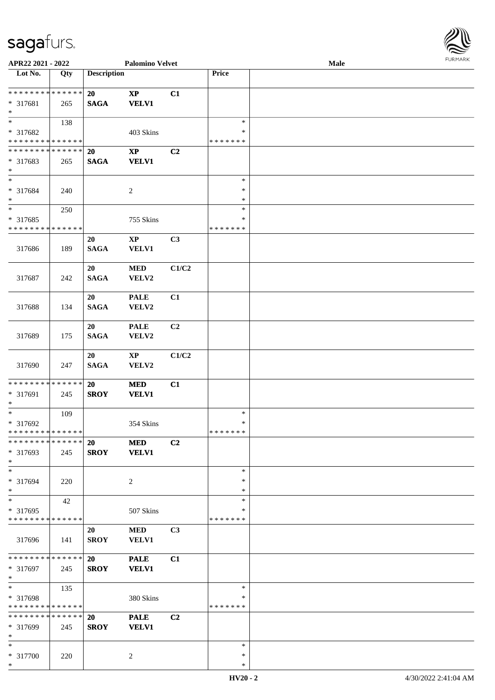\*

| APR22 2021 - 2022                                                   |     |                          | <b>Palomino Velvet</b>                 |                |                                   | FURMARK<br>Male |  |  |
|---------------------------------------------------------------------|-----|--------------------------|----------------------------------------|----------------|-----------------------------------|-----------------|--|--|
| $\overline{\phantom{1}}$ Lot No.                                    | Qty | <b>Description</b>       |                                        |                | Price                             |                 |  |  |
| * * * * * * * * * * * * * *<br>* 317681<br>$*$                      | 265 | 20<br><b>SAGA</b>        | $\mathbf{X}\mathbf{P}$<br><b>VELV1</b> | C1             |                                   |                 |  |  |
| $\overline{\phantom{1}}$<br>* 317682<br>* * * * * * * * * * * * * * | 138 |                          | 403 Skins                              |                | $\ast$<br>*<br>*******            |                 |  |  |
| * * * * * * * * * * * * * * *<br>* 317683<br>$*$                    | 265 | 20<br><b>SAGA</b>        | $\mathbf{X}\mathbf{P}$<br><b>VELV1</b> | C2             |                                   |                 |  |  |
| $*$<br>* 317684<br>$*$                                              | 240 |                          | $\sqrt{2}$                             |                | $\ast$<br>$\ast$<br>$\ast$        |                 |  |  |
| $\overline{\phantom{0}}$<br>* 317685<br>* * * * * * * * * * * * * * | 250 |                          | 755 Skins                              |                | $\ast$<br>∗<br>* * * * * * *      |                 |  |  |
| 317686                                                              | 189 | 20<br><b>SAGA</b>        | $\mathbf{X}\mathbf{P}$<br><b>VELV1</b> | C3             |                                   |                 |  |  |
| 317687                                                              | 242 | 20<br><b>SAGA</b>        | <b>MED</b><br>VELV2                    | C1/C2          |                                   |                 |  |  |
| 317688                                                              | 134 | 20<br><b>SAGA</b>        | <b>PALE</b><br>VELV2                   | C1             |                                   |                 |  |  |
| 317689                                                              | 175 | 20<br><b>SAGA</b>        | <b>PALE</b><br>VELV2                   | C <sub>2</sub> |                                   |                 |  |  |
| 317690                                                              | 247 | 20<br><b>SAGA</b>        | $\mathbf{X}\mathbf{P}$<br>VELV2        | C1/C2          |                                   |                 |  |  |
| * * * * * * * * * * * * * *<br>* 317691<br>$*$                      | 245 | 20<br><b>SROY</b>        | <b>MED</b><br><b>VELV1</b>             | C1             |                                   |                 |  |  |
| $*$<br>* 317692<br>* * * * * * * * * * * * * *                      | 109 |                          | 354 Skins                              |                | $\ast$<br>$\ast$<br>* * * * * * * |                 |  |  |
| * * * * * * * * * * * * * *<br>* 317693<br>$\ast$                   | 245 | <b>20</b><br><b>SROY</b> | <b>MED</b><br><b>VELV1</b>             | C <sub>2</sub> |                                   |                 |  |  |
| $\ast$<br>* 317694<br>$*$                                           | 220 |                          | 2                                      |                | $\ast$<br>$\ast$<br>$\ast$        |                 |  |  |
| $*$<br>* 317695<br>* * * * * * * * * * * * * *                      | 42  |                          | 507 Skins                              |                | $\ast$<br>∗<br>* * * * * * *      |                 |  |  |
| 317696                                                              | 141 | 20<br><b>SROY</b>        | <b>MED</b><br><b>VELV1</b>             | C3             |                                   |                 |  |  |
| * * * * * * * * * * * * * *<br>* 317697<br>$*$                      | 245 | 20<br><b>SROY</b>        | <b>PALE</b><br><b>VELV1</b>            | C1             |                                   |                 |  |  |
| $\ast$<br>* 317698<br>* * * * * * * * * * * * * *                   | 135 |                          | 380 Skins                              |                | $\ast$<br>*<br>*******            |                 |  |  |
| * * * * * * * * * * * * * *<br>* 317699<br>$*$                      | 245 | <b>20</b><br><b>SROY</b> | <b>PALE</b><br><b>VELV1</b>            | C <sub>2</sub> |                                   |                 |  |  |
| $*$<br>* 317700                                                     | 220 |                          | $\overline{2}$                         |                | $\ast$<br>$\ast$                  |                 |  |  |

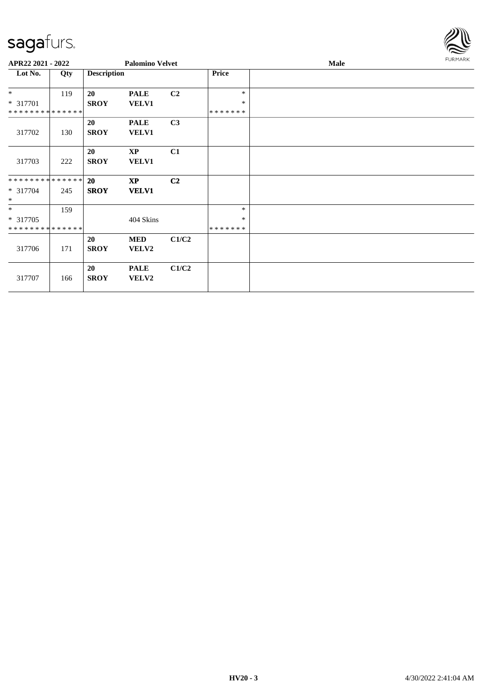

| APR22 2021 - 2022  |     |                    | <b>Palomino Velvet</b>      |                |               | FURMARK |  |
|--------------------|-----|--------------------|-----------------------------|----------------|---------------|---------|--|
| Lot No.            | Qty | <b>Description</b> |                             |                | Price         |         |  |
| $*$                | 119 | 20                 | <b>PALE</b>                 | C <sub>2</sub> | $\ast$        |         |  |
| * 317701           |     | <b>SROY</b>        | <b>VELV1</b>                |                | $\ast$        |         |  |
| **************     |     |                    |                             |                | *******       |         |  |
|                    |     | 20                 | <b>PALE</b>                 | C3             |               |         |  |
| 317702             | 130 | <b>SROY</b>        | <b>VELV1</b>                |                |               |         |  |
|                    |     | 20                 | $\mathbf{X}\mathbf{P}$      | C1             |               |         |  |
| 317703             | 222 | <b>SROY</b>        | <b>VELV1</b>                |                |               |         |  |
| **************     |     | 20                 | <b>XP</b>                   | C <sub>2</sub> |               |         |  |
| * 317704<br>$\ast$ | 245 | <b>SROY</b>        | <b>VELV1</b>                |                |               |         |  |
| $*$                | 159 |                    |                             |                | $\ast$        |         |  |
| * 317705           |     |                    | 404 Skins                   |                | ∗             |         |  |
| **************     |     |                    |                             |                | * * * * * * * |         |  |
|                    |     | 20                 | <b>MED</b>                  | C1/C2          |               |         |  |
| 317706             | 171 | <b>SROY</b>        | VELV2                       |                |               |         |  |
| 317707             | 166 | 20<br><b>SROY</b>  | <b>PALE</b><br><b>VELV2</b> | C1/C2          |               |         |  |
|                    |     |                    |                             |                |               |         |  |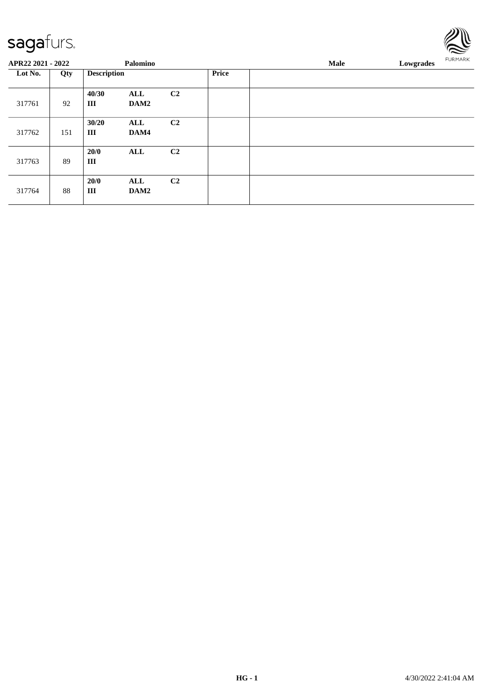| Lowgrades | <b>FURMARK</b> |
|-----------|----------------|
|           |                |

| APR22 2021 - 2022 |     |             | Palomino           |                |  | Male<br>Lowgrades |  |  |
|-------------------|-----|-------------|--------------------|----------------|--|-------------------|--|--|
| Lot No.           | Qty |             | <b>Description</b> |                |  |                   |  |  |
| 317761            | 92  | 40/30<br>Ш  | ALL<br>DAM2        | C <sub>2</sub> |  |                   |  |  |
| 317762            | 151 | 30/20<br>Ш  | ALL<br>DAM4        | C <sub>2</sub> |  |                   |  |  |
| 317763            | 89  | 20/0<br>Ш   | <b>ALL</b>         | C <sub>2</sub> |  |                   |  |  |
| 317764            | 88  | 20/0<br>III | ALL<br>DAM2        | C <sub>2</sub> |  |                   |  |  |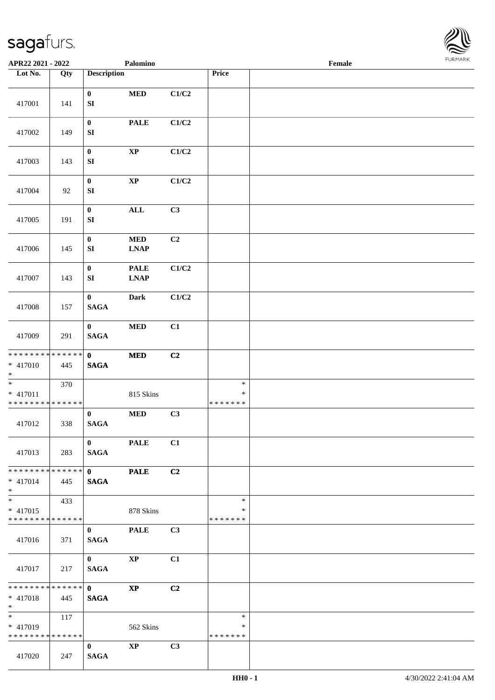

| APR22 2021 - 2022                                  |     |                                 | Palomino                                    |                |                                   | Female |  |
|----------------------------------------------------|-----|---------------------------------|---------------------------------------------|----------------|-----------------------------------|--------|--|
| Lot No.                                            | Qty | <b>Description</b>              |                                             |                | Price                             |        |  |
| 417001                                             | 141 | $\bf{0}$<br>${\bf SI}$          | $\bf MED$                                   | C1/C2          |                                   |        |  |
| 417002                                             | 149 | $\boldsymbol{0}$<br>SI          | <b>PALE</b>                                 | C1/C2          |                                   |        |  |
| 417003                                             | 143 | $\boldsymbol{0}$<br>SI          | $\bold{XP}$                                 | C1/C2          |                                   |        |  |
| 417004                                             | 92  | $\bf{0}$<br>${\bf SI}$          | $\bold{XP}$                                 | C1/C2          |                                   |        |  |
| 417005                                             | 191 | $\boldsymbol{0}$<br>SI          | $\mathbf{ALL}$                              | C3             |                                   |        |  |
| 417006                                             | 145 | $\boldsymbol{0}$<br>SI          | $\bf MED$<br><b>LNAP</b>                    | C2             |                                   |        |  |
| 417007                                             | 143 | $\bf{0}$<br>${\bf SI}$          | <b>PALE</b><br>$\ensuremath{\text{L}N\!AP}$ | C1/C2          |                                   |        |  |
| 417008                                             | 157 | $\bf{0}$<br><b>SAGA</b>         | <b>Dark</b>                                 | C1/C2          |                                   |        |  |
| 417009                                             | 291 | $\bf{0}$<br><b>SAGA</b>         | $\bf MED$                                   | C1             |                                   |        |  |
| * * * * * * * * * * * * * * *<br>$* 417010$<br>$*$ | 445 | $\mathbf{0}$<br>$\mathbf{SAGA}$ | $\bf MED$                                   | C <sub>2</sub> |                                   |        |  |
| $*$<br>$* 417011$<br>* * * * * * * * * * * * * *   | 370 |                                 | 815 Skins                                   |                | $\ast$<br>$\ast$<br>* * * * * * * |        |  |
| 417012                                             | 338 | $\bf{0}$<br>$\mathbf{SAGA}$     | $\bf MED$                                   | C3             |                                   |        |  |
| 417013                                             | 283 | $\mathbf{0}$<br><b>SAGA</b>     | <b>PALE</b>                                 | C1             |                                   |        |  |
| * * * * * * * * * * * * * * *<br>$* 417014$<br>$*$ | 445 | $\mathbf{0}$<br><b>SAGA</b>     | <b>PALE</b>                                 | C2             |                                   |        |  |
| * 417015<br>******** <mark>******</mark>           | 433 |                                 | 878 Skins                                   |                | $\ast$<br>$\ast$<br>* * * * * * * |        |  |
| 417016                                             | 371 | $\bf{0}$<br><b>SAGA</b>         | <b>PALE</b>                                 | C3             |                                   |        |  |
| 417017                                             | 217 | $\mathbf{0}$<br><b>SAGA</b>     | $\bold{XP}$                                 | C1             |                                   |        |  |
| * * * * * * * * * * * * * * *<br>$* 417018$<br>$*$ | 445 | $\mathbf{0}$<br><b>SAGA</b>     | $\mathbf{X}\mathbf{P}$                      | C2             |                                   |        |  |
| * 417019<br>* * * * * * * * * * * * * * *          | 117 |                                 | 562 Skins                                   |                | $\ast$<br>∗<br>* * * * * * *      |        |  |
| 417020                                             | 247 | $\bf{0}$<br><b>SAGA</b>         | $\mathbf{XP}$                               | C3             |                                   |        |  |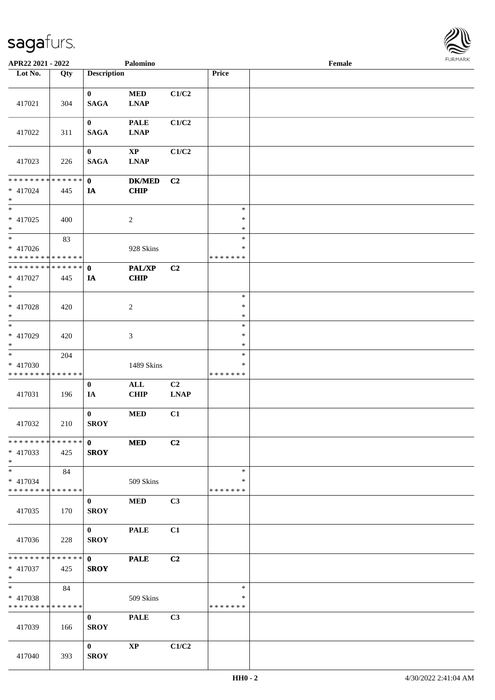

| APR22 2021 - 2022                                 |     |                             | Palomino                      |                   |                                   | Female |  |
|---------------------------------------------------|-----|-----------------------------|-------------------------------|-------------------|-----------------------------------|--------|--|
| Lot No.                                           | Qty | <b>Description</b>          |                               |                   | Price                             |        |  |
| 417021                                            | 304 | $\bf{0}$<br><b>SAGA</b>     | $\bf MED$<br><b>LNAP</b>      | C1/C2             |                                   |        |  |
| 417022                                            | 311 | $\bf{0}$<br><b>SAGA</b>     | <b>PALE</b><br><b>LNAP</b>    | C1/C2             |                                   |        |  |
| 417023                                            | 226 | $\bf{0}$<br><b>SAGA</b>     | $\bold{XP}$<br><b>LNAP</b>    | C1/C2             |                                   |        |  |
| * * * * * * * * * * * * * *<br>* 417024<br>$*$    | 445 | $\mathbf{0}$<br>IA          | <b>DK/MED</b><br>CHIP         | C <sub>2</sub>    |                                   |        |  |
| $\ast$<br>$* 417025$<br>$*$                       | 400 |                             | $\boldsymbol{2}$              |                   | $\ast$<br>$\ast$<br>$\ast$        |        |  |
| $*$<br>$* 417026$<br>* * * * * * * * * * * * * *  | 83  |                             | 928 Skins                     |                   | $\ast$<br>$\ast$<br>* * * * * * * |        |  |
| **************<br>$* 417027$<br>$*$               | 445 | $\mathbf{0}$<br><b>IA</b>   | PAL/XP<br>CHIP                | C2                |                                   |        |  |
| $*$<br>$* 417028$<br>$*$                          | 420 |                             | $\boldsymbol{2}$              |                   | $\ast$<br>$\ast$<br>$\ast$        |        |  |
| $\ast$<br>* 417029<br>$*$                         | 420 |                             | 3                             |                   | $\ast$<br>$\ast$<br>$\ast$        |        |  |
| $\ast$<br>* 417030<br>* * * * * * * * * * * * * * | 204 |                             | 1489 Skins                    |                   | $\ast$<br>∗<br>* * * * * * *      |        |  |
| 417031                                            | 196 | $\bf{0}$<br>IA              | $\mathbf{ALL}$<br><b>CHIP</b> | C2<br><b>LNAP</b> |                                   |        |  |
| 417032                                            | 210 | $\bf{0}$<br><b>SROY</b>     | $\bf MED$                     | C1                |                                   |        |  |
| **************<br>$* 417033$<br>$*$               | 425 | $\mathbf{0}$<br><b>SROY</b> | <b>MED</b>                    | C2                |                                   |        |  |
| $*$<br>* 417034<br>* * * * * * * * * * * * * *    | 84  |                             | 509 Skins                     |                   | $\ast$<br>∗<br>* * * * * * *      |        |  |
| 417035                                            | 170 | $\bf{0}$<br><b>SROY</b>     | <b>MED</b>                    | C3                |                                   |        |  |
| 417036                                            | 228 | $\mathbf{0}$<br><b>SROY</b> | <b>PALE</b>                   | C1                |                                   |        |  |
| * * * * * * * * * * * * * * *<br>* 417037<br>$*$  | 425 | $\mathbf{0}$<br><b>SROY</b> | <b>PALE</b>                   | C2                |                                   |        |  |
| $*$<br>* 417038<br>* * * * * * * * * * * * * *    | 84  |                             | 509 Skins                     |                   | $\ast$<br>$\ast$<br>* * * * * * * |        |  |
| 417039                                            | 166 | $\mathbf{0}$<br><b>SROY</b> | <b>PALE</b>                   | C3                |                                   |        |  |
| 417040                                            | 393 | $\mathbf{0}$<br><b>SROY</b> | $\bold{XP}$                   | C1/C2             |                                   |        |  |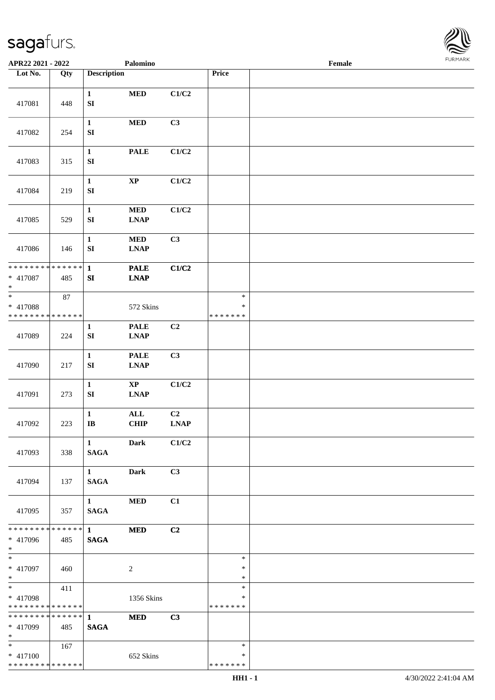

| APR22 2021 - 2022                                 |        |                                       | Palomino                                                  |                                                              |                                   | Female |  |
|---------------------------------------------------|--------|---------------------------------------|-----------------------------------------------------------|--------------------------------------------------------------|-----------------------------------|--------|--|
| Lot No.                                           | Qty    | <b>Description</b>                    |                                                           |                                                              | Price                             |        |  |
| 417081                                            | 448    | $\mathbf{1}$<br>${\bf SI}$            | $\bf MED$                                                 | C1/C2                                                        |                                   |        |  |
| 417082                                            | 254    | $\mathbf{1}$<br>${\bf S}{\bf I}$      | <b>MED</b>                                                | C3                                                           |                                   |        |  |
| 417083                                            | 315    | $\mathbf{1}$<br>${\bf S}{\bf I}$      | <b>PALE</b>                                               | C1/C2                                                        |                                   |        |  |
| 417084                                            | 219    | $\mathbf{1}$<br>${\bf SI}$            | $\bold{XP}$                                               | C1/C2                                                        |                                   |        |  |
| 417085                                            | 529    | $\mathbf{1}$<br>SI                    | $\bf MED$<br><b>LNAP</b>                                  | C1/C2                                                        |                                   |        |  |
| 417086                                            | 146    | $\mathbf{1}$<br>${\bf SI}$            | $\bf MED$<br><b>LNAP</b>                                  | C3                                                           |                                   |        |  |
| * * * * * * * * * * * * * *<br>* 417087<br>$\ast$ | 485    | $\mathbf{1}$<br>${\bf SI}$            | <b>PALE</b><br><b>LNAP</b>                                | C1/C2                                                        |                                   |        |  |
| $\ast$<br>* 417088<br>* * * * * * * * * * * * * * | $87\,$ |                                       | 572 Skins                                                 |                                                              | $\ast$<br>$\ast$<br>* * * * * * * |        |  |
| 417089                                            | 224    | 1<br>${\bf S}{\bf I}$                 | <b>PALE</b><br><b>LNAP</b>                                | C2                                                           |                                   |        |  |
| 417090                                            | 217    | $\mathbf{1}$<br>${\bf SI}$            | <b>PALE</b><br>$\mathbf{L}\mathbf{N}\mathbf{A}\mathbf{P}$ | C3                                                           |                                   |        |  |
| 417091                                            | 273    | $\mathbf{1}$<br>${\bf S}{\bf I}$      | $\bold{XP}$<br><b>LNAP</b>                                | C1/C2                                                        |                                   |        |  |
| 417092                                            | 223    | $\mathbf 1$<br>$\mathbf{I}\mathbf{B}$ | $\mathbf{ALL}$<br><b>CHIP</b>                             | C <sub>2</sub><br>$\mathbf{L}\mathbf{N}\mathbf{A}\mathbf{P}$ |                                   |        |  |
| 417093                                            | 338    | $\mathbf{1}$<br><b>SAGA</b>           | <b>Dark</b>                                               | C1/C2                                                        |                                   |        |  |
| 417094                                            | 137    | $1 \quad \blacksquare$<br><b>SAGA</b> | <b>Dark</b>                                               | C3                                                           |                                   |        |  |
| 417095                                            | 357    | $1 \quad \blacksquare$<br><b>SAGA</b> | <b>MED</b>                                                | C1                                                           |                                   |        |  |
| **************<br>* 417096<br>$*$                 | 485    | $1 \quad \blacksquare$<br><b>SAGA</b> | <b>MED</b>                                                | C2                                                           |                                   |        |  |
| $*$<br>$* 417097$<br>$*$                          | 460    |                                       | $\sqrt{2}$                                                |                                                              | $\ast$<br>$\ast$<br>$\ast$        |        |  |
| $*$<br>* 417098<br>* * * * * * * * * * * * * *    | 411    |                                       | 1356 Skins                                                |                                                              | $\ast$<br>$\ast$<br>* * * * * * * |        |  |
| **************<br>* 417099<br>$*$                 | 485    | $\mathbf{1}$<br><b>SAGA</b>           | <b>MED</b>                                                | C3                                                           |                                   |        |  |
| $*$<br>* 417100<br>* * * * * * * * * * * * * *    | 167    |                                       | 652 Skins                                                 |                                                              | $\ast$<br>∗<br>* * * * * * *      |        |  |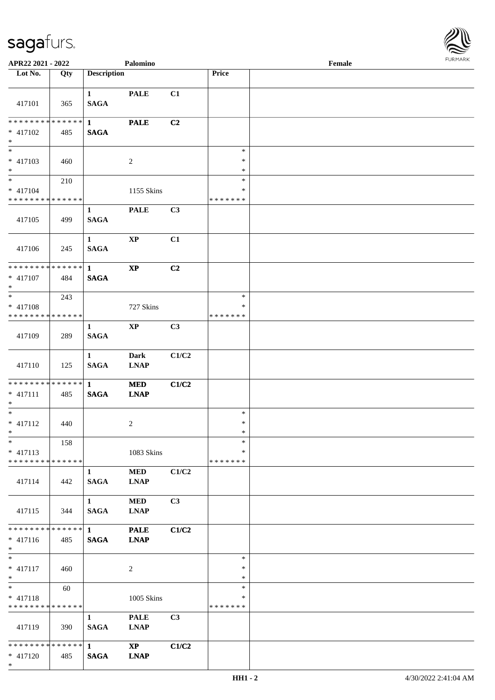

| APR22 2021 - 2022                                     |     |                                 | Palomino                              |                |                                   | Female |  |
|-------------------------------------------------------|-----|---------------------------------|---------------------------------------|----------------|-----------------------------------|--------|--|
| Lot No.                                               | Qty | <b>Description</b>              |                                       |                | Price                             |        |  |
| 417101                                                | 365 | $\mathbf{1}$<br><b>SAGA</b>     | <b>PALE</b>                           | C1             |                                   |        |  |
| * * * * * * * * * * * * * * *<br>$* 417102$<br>$\ast$ | 485 | $\mathbf{1}$<br><b>SAGA</b>     | <b>PALE</b>                           | C2             |                                   |        |  |
| $\overline{\phantom{0}}$<br>$* 417103$<br>$*$         | 460 |                                 | $\overline{c}$                        |                | $\ast$<br>$\ast$<br>$\ast$        |        |  |
| $\ast$<br>$* 417104$<br>* * * * * * * * * * * * * *   | 210 |                                 | 1155 Skins                            |                | $\ast$<br>*<br>* * * * * * *      |        |  |
| 417105                                                | 499 | $\mathbf{1}$<br><b>SAGA</b>     | <b>PALE</b>                           | C3             |                                   |        |  |
| 417106                                                | 245 | $\mathbf{1}$<br><b>SAGA</b>     | $\bold{XP}$                           | C1             |                                   |        |  |
| ******** <mark>******</mark><br>$* 417107$<br>$*$     | 484 | $\mathbf{1}$<br><b>SAGA</b>     | $\bold{XP}$                           | C2             |                                   |        |  |
| $*$<br>$* 417108$<br>* * * * * * * * * * * * * *      | 243 |                                 | 727 Skins                             |                | $\ast$<br>∗<br>* * * * * * *      |        |  |
| 417109                                                | 289 | $\mathbf{1}$<br><b>SAGA</b>     | $\mathbf{XP}$                         | C <sub>3</sub> |                                   |        |  |
| 417110                                                | 125 | $\mathbf{1}$<br><b>SAGA</b>     | <b>Dark</b><br><b>LNAP</b>            | C1/C2          |                                   |        |  |
| ******** <mark>******</mark><br>$* 417111$<br>$*$     | 485 | $\mathbf{1}$<br>$\mathbf{SAGA}$ | $\bf MED$<br><b>LNAP</b>              | C1/C2          |                                   |        |  |
| $\ast$<br>$* 417112$<br>$*$                           | 440 |                                 | $\overline{c}$                        |                | $\ast$<br>$\ast$<br>$\ast$        |        |  |
| $*$<br>$* 417113$<br>* * * * * * * * * * * * * *      | 158 |                                 | 1083 Skins                            |                | $\ast$<br>*<br>* * * * * * *      |        |  |
| 417114                                                | 442 | $\mathbf{1}$<br><b>SAGA</b>     | <b>MED</b><br><b>LNAP</b>             | C1/C2          |                                   |        |  |
| 417115                                                | 344 | $1 \quad$<br><b>SAGA</b>        | $\bf MED$<br><b>LNAP</b>              | C3             |                                   |        |  |
| ******** <mark>******</mark><br>$* 417116$<br>$*$     | 485 | $1 -$<br><b>SAGA</b>            | <b>PALE</b><br><b>LNAP</b>            | C1/C2          |                                   |        |  |
| $*$<br>$* 417117$<br>$*$                              | 460 |                                 | $\overline{c}$                        |                | $\ast$<br>$\ast$<br>$\ast$        |        |  |
| $*$<br>$* 417118$<br>* * * * * * * * * * * * * *      | 60  |                                 | 1005 Skins                            |                | $\ast$<br>$\ast$<br>* * * * * * * |        |  |
| 417119                                                | 390 | $\mathbf{1}$<br><b>SAGA</b>     | <b>PALE</b><br><b>LNAP</b>            | C3             |                                   |        |  |
| * * * * * * * * * * * * * * *<br>$* 417120$<br>$*$    | 485 | $\mathbf{1}$<br><b>SAGA</b>     | $\mathbf{X}\mathbf{P}$<br><b>LNAP</b> | C1/C2          |                                   |        |  |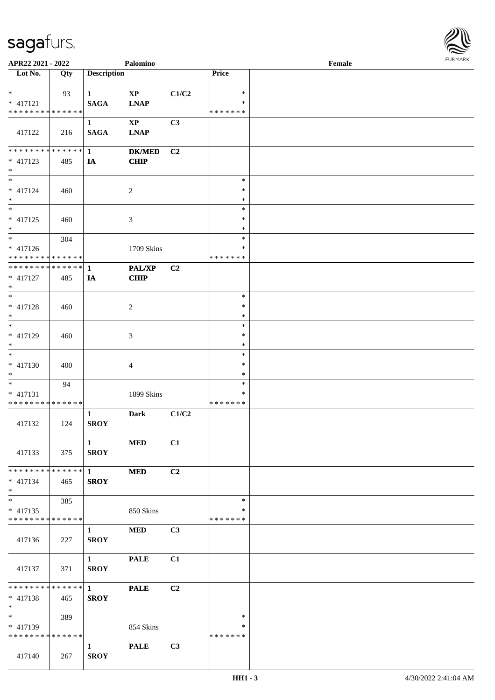

| APR22 2021 - 2022                          |     |                    | Palomino       |                |                  | Female |  |
|--------------------------------------------|-----|--------------------|----------------|----------------|------------------|--------|--|
| Lot No.                                    | Qty | <b>Description</b> |                |                | Price            |        |  |
|                                            |     |                    |                |                |                  |        |  |
| $*$                                        | 93  | $\mathbf{1}$       | $\mathbf{XP}$  | C1/C2          | $\ast$           |        |  |
| * 417121                                   |     | <b>SAGA</b>        | <b>LNAP</b>    |                | $\ast$           |        |  |
| * * * * * * * * * * * * * *                |     |                    |                |                | * * * * * * *    |        |  |
|                                            |     | $\mathbf{1}$       | $\mathbf{XP}$  | C3             |                  |        |  |
| 417122                                     | 216 | <b>SAGA</b>        | <b>LNAP</b>    |                |                  |        |  |
|                                            |     |                    |                |                |                  |        |  |
| ******** <mark>******</mark>               |     | $\mathbf{1}$       | <b>DK/MED</b>  | C2             |                  |        |  |
| $* 417123$                                 | 485 | IA                 | <b>CHIP</b>    |                |                  |        |  |
| $*$                                        |     |                    |                |                |                  |        |  |
| $*$                                        |     |                    |                |                | $\ast$           |        |  |
| * 417124                                   | 460 |                    | $\overline{c}$ |                | $\ast$           |        |  |
| $*$                                        |     |                    |                |                | $\ast$           |        |  |
|                                            |     |                    |                |                | $\ast$           |        |  |
| $* 417125$                                 | 460 |                    | $\mathfrak{Z}$ |                | $\ast$           |        |  |
| $*$                                        |     |                    |                |                | $\ast$           |        |  |
| $*$                                        | 304 |                    |                |                | $\ast$           |        |  |
| * 417126                                   |     |                    | 1709 Skins     |                | $\ast$           |        |  |
| * * * * * * * * <mark>* * * * * * *</mark> |     |                    |                |                | * * * * * * *    |        |  |
| * * * * * * * * * * * * * * *              |     | $\mathbf{1}$       | PAL/XP         | C <sub>2</sub> |                  |        |  |
| $* 417127$                                 | 485 | IA                 | <b>CHIP</b>    |                |                  |        |  |
| $\ast$                                     |     |                    |                |                |                  |        |  |
|                                            |     |                    |                |                | $\ast$           |        |  |
| * 417128<br>$*$                            | 460 |                    | $\overline{c}$ |                | $\ast$           |        |  |
| $*$                                        |     |                    |                |                | $\ast$<br>$\ast$ |        |  |
|                                            |     |                    |                |                | $\ast$           |        |  |
| * 417129<br>$*$                            | 460 |                    | 3              |                | $\ast$           |        |  |
|                                            |     |                    |                |                | $\ast$           |        |  |
|                                            |     |                    |                |                | $\ast$           |        |  |
| $* 417130$<br>$*$                          | 400 |                    | $\overline{4}$ |                | $\ast$           |        |  |
| $*$                                        | 94  |                    |                |                | $\ast$           |        |  |
| $* 417131$                                 |     |                    | 1899 Skins     |                | $\ast$           |        |  |
| * * * * * * * * * * * * * *                |     |                    |                |                | * * * * * * *    |        |  |
|                                            |     | $\mathbf{1}$       | <b>Dark</b>    | C1/C2          |                  |        |  |
| 417132                                     | 124 | <b>SROY</b>        |                |                |                  |        |  |
|                                            |     |                    |                |                |                  |        |  |
|                                            |     | $\mathbf{1}$       | <b>MED</b>     | C1             |                  |        |  |
| 417133                                     | 375 | <b>SROY</b>        |                |                |                  |        |  |
|                                            |     |                    |                |                |                  |        |  |
| ******** <mark>******</mark> 1             |     |                    | <b>MED</b>     | C2             |                  |        |  |
| $* 417134$                                 | 465 | <b>SROY</b>        |                |                |                  |        |  |
| $*$                                        |     |                    |                |                |                  |        |  |
| $*$                                        | 385 |                    |                |                | $\ast$           |        |  |
| $* 417135$                                 |     |                    | 850 Skins      |                | $\ast$           |        |  |
| * * * * * * * * * * * * * * *              |     |                    |                |                | * * * * * * *    |        |  |
|                                            |     | $\mathbf{1}$       | <b>MED</b>     | C3             |                  |        |  |
| 417136                                     | 227 | <b>SROY</b>        |                |                |                  |        |  |
|                                            |     |                    |                |                |                  |        |  |
|                                            |     | $1 \qquad \qquad$  | <b>PALE</b>    | C1             |                  |        |  |
| 417137                                     | 371 | <b>SROY</b>        |                |                |                  |        |  |
|                                            |     |                    |                |                |                  |        |  |
| ******** <mark>******</mark> 1             |     |                    | <b>PALE</b>    | C2             |                  |        |  |
| * 417138                                   | 465 | <b>SROY</b>        |                |                |                  |        |  |
| $*$                                        |     |                    |                |                |                  |        |  |
| $*$ $*$                                    | 389 |                    |                |                | $\ast$           |        |  |
| * 417139                                   |     |                    | 854 Skins      |                | ∗                |        |  |
| * * * * * * * * * * * * * *                |     |                    |                |                | * * * * * * *    |        |  |
|                                            |     | $\mathbf{1}$       | <b>PALE</b>    | C3             |                  |        |  |
| 417140                                     | 267 | <b>SROY</b>        |                |                |                  |        |  |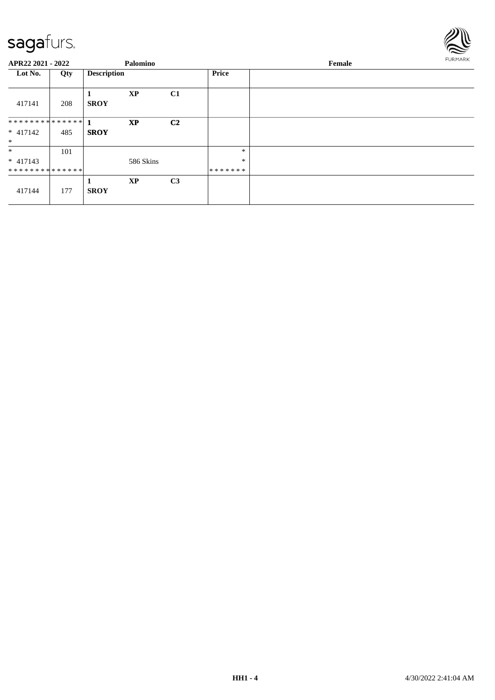

| APR22 2021 - 2022                      |     |                    | Palomino  |                |                             | Female |  |  |
|----------------------------------------|-----|--------------------|-----------|----------------|-----------------------------|--------|--|--|
| Lot No.                                | Qty | <b>Description</b> |           |                | <b>Price</b>                |        |  |  |
| 417141                                 | 208 | <b>SROY</b>        | <b>XP</b> | C1             |                             |        |  |  |
| $* 417142$<br>$*$                      | 485 | <b>SROY</b>        | <b>XP</b> | C <sub>2</sub> |                             |        |  |  |
| $\ast$<br>$* 417143$<br>************** | 101 |                    | 586 Skins |                | $\ast$<br>$\ast$<br>******* |        |  |  |
| 417144                                 | 177 | <b>SROY</b>        | <b>XP</b> | C <sub>3</sub> |                             |        |  |  |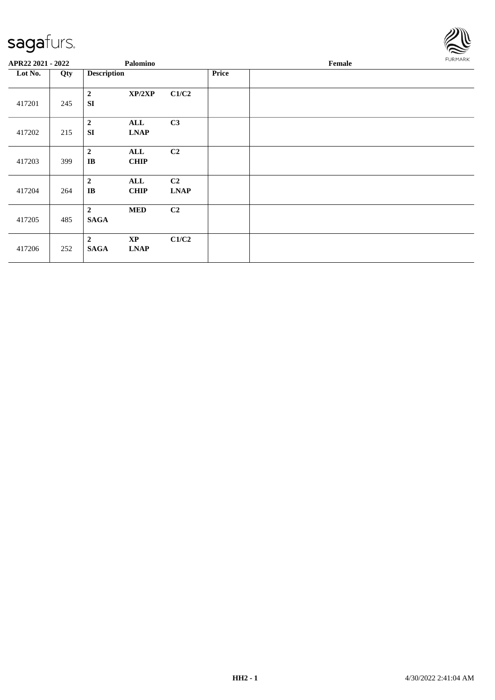

| APR22 2021 - 2022 |     | Palomino                                   |                                       |                               |       | Female |  |  |  |  |
|-------------------|-----|--------------------------------------------|---------------------------------------|-------------------------------|-------|--------|--|--|--|--|
| Lot No.           | Qty | <b>Description</b>                         |                                       |                               | Price |        |  |  |  |  |
| 417201            | 245 | $\boldsymbol{2}$<br><b>SI</b>              | XP/2XP                                | C1/C2                         |       |        |  |  |  |  |
| 417202            | 215 | $\overline{2}$<br><b>SI</b>                | ALL<br><b>LNAP</b>                    | C3                            |       |        |  |  |  |  |
| 417203            | 399 | $\boldsymbol{2}$<br>$\mathbf{I}\mathbf{B}$ | ALL<br><b>CHIP</b>                    | C <sub>2</sub>                |       |        |  |  |  |  |
| 417204            | 264 | $\overline{2}$<br>$\mathbf{I}\mathbf{B}$   | ALL<br><b>CHIP</b>                    | C <sub>2</sub><br><b>LNAP</b> |       |        |  |  |  |  |
| 417205            | 485 | $\overline{2}$<br><b>SAGA</b>              | <b>MED</b>                            | C <sub>2</sub>                |       |        |  |  |  |  |
| 417206            | 252 | $\boldsymbol{2}$<br><b>SAGA</b>            | $\mathbf{X}\mathbf{P}$<br><b>LNAP</b> | C1/C2                         |       |        |  |  |  |  |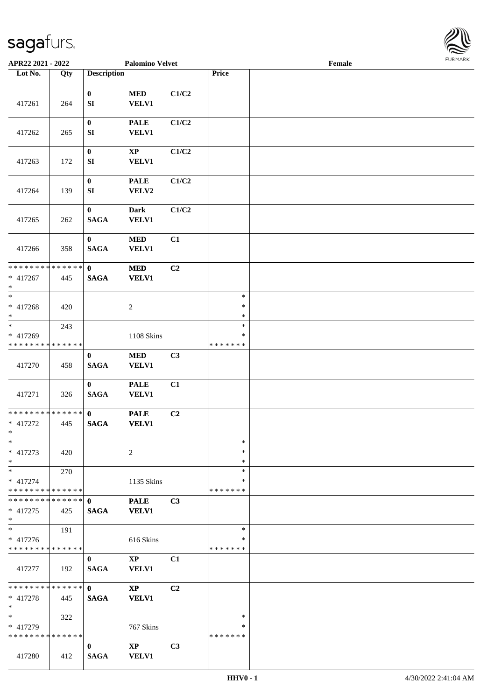

| APR22 2021 - 2022                                                     |     |                                 | <b>Palomino Velvet</b>                 |                |                                   | Female |  |
|-----------------------------------------------------------------------|-----|---------------------------------|----------------------------------------|----------------|-----------------------------------|--------|--|
| Lot No.                                                               | Qty | <b>Description</b>              |                                        |                | Price                             |        |  |
|                                                                       |     |                                 |                                        |                |                                   |        |  |
| 417261                                                                | 264 | $\bf{0}$<br>SI                  | $\bf MED$<br><b>VELV1</b>              | C1/C2          |                                   |        |  |
| 417262                                                                | 265 | $\pmb{0}$<br>SI                 | <b>PALE</b><br><b>VELV1</b>            | C1/C2          |                                   |        |  |
| 417263                                                                | 172 | $\pmb{0}$<br>${\bf S}{\bf I}$   | $\bold{XP}$<br><b>VELV1</b>            | C1/C2          |                                   |        |  |
| 417264                                                                | 139 | $\boldsymbol{0}$<br>SI          | <b>PALE</b><br>VELV2                   | C1/C2          |                                   |        |  |
| 417265                                                                | 262 | $\boldsymbol{0}$<br><b>SAGA</b> | <b>Dark</b><br><b>VELV1</b>            | C1/C2          |                                   |        |  |
| 417266                                                                | 358 | $\bf{0}$<br><b>SAGA</b>         | $\bf MED$<br><b>VELV1</b>              | C1             |                                   |        |  |
| * * * * * * * * * * * * * *<br>$* 417267$<br>$*$                      | 445 | $\mathbf{0}$<br><b>SAGA</b>     | $\bf MED$<br><b>VELV1</b>              | C2             |                                   |        |  |
| $*$<br>* 417268<br>$\ast$                                             | 420 |                                 | $\sqrt{2}$                             |                | $\ast$<br>$\ast$<br>$\ast$        |        |  |
| $\overline{\phantom{0}}$<br>$* 417269$<br>* * * * * * * * * * * * * * | 243 |                                 | <b>1108 Skins</b>                      |                | $\ast$<br>$\ast$<br>* * * * * * * |        |  |
| 417270                                                                | 458 | $\bf{0}$<br>$\mathbf{SAGA}$     | $\bf MED$<br><b>VELV1</b>              | C3             |                                   |        |  |
| 417271                                                                | 326 | $\bf{0}$<br><b>SAGA</b>         | <b>PALE</b><br><b>VELV1</b>            | C1             |                                   |        |  |
| * * * * * * * * * * * * * * *<br>$* 417272$<br>$*$                    | 445 | $\mathbf{0}$<br><b>SAGA</b>     | <b>PALE</b><br><b>VELV1</b>            | C2             |                                   |        |  |
| $*$<br>$* 417273$<br>$*$                                              | 420 |                                 | 2                                      |                | $\ast$<br>$\ast$<br>$\ast$        |        |  |
| $*$<br>$* 417274$<br>* * * * * * * * * * * * * * *                    | 270 |                                 | 1135 Skins                             |                | $\ast$<br>∗<br>*******            |        |  |
| ************** 0<br>$* 417275$<br>$*$                                 | 425 | <b>SAGA</b>                     | <b>PALE</b><br><b>VELV1</b>            | C3             |                                   |        |  |
| $\overline{\ast}$<br>$* 417276$<br>* * * * * * * * * * * * * *        | 191 |                                 | 616 Skins                              |                | $\ast$<br>∗<br>*******            |        |  |
| 417277                                                                | 192 | $\mathbf{0}$<br><b>SAGA</b>     | $\mathbf{X}\mathbf{P}$<br>VELV1        | C1             |                                   |        |  |
| * * * * * * * * * * * * * * *<br>$* 417278$<br>$*$                    | 445 | $\mathbf{0}$<br><b>SAGA</b>     | $\mathbf{X}\mathbf{P}$<br><b>VELV1</b> | C <sub>2</sub> |                                   |        |  |
| $*$<br>* 417279<br>* * * * * * * * * * * * * *                        | 322 |                                 | 767 Skins                              |                | $\ast$<br>∗<br>*******            |        |  |
| 417280                                                                | 412 | $\mathbf{0}$<br><b>SAGA</b>     | $\bold{X}\bold{P}$<br><b>VELV1</b>     | C3             |                                   |        |  |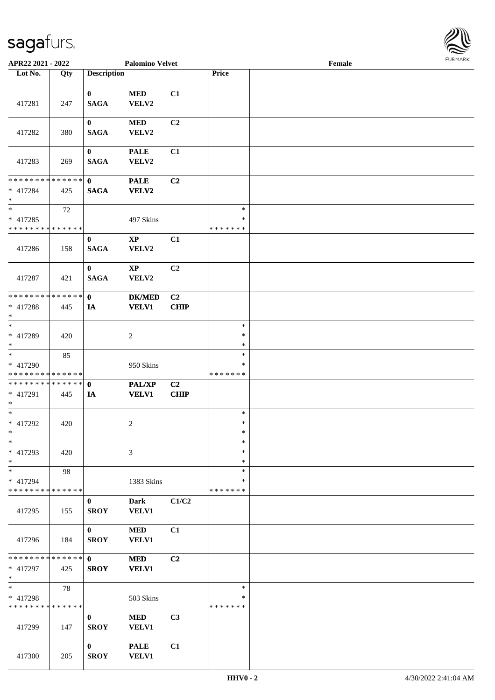

| APR22 2021 - 2022             |     |                    | <b>Palomino Velvet</b> |                |         | Female |  |
|-------------------------------|-----|--------------------|------------------------|----------------|---------|--------|--|
| Lot No.                       | Qty | <b>Description</b> |                        |                | Price   |        |  |
|                               |     |                    |                        |                |         |        |  |
|                               |     | $\bf{0}$           | <b>MED</b>             | C1             |         |        |  |
| 417281                        | 247 | <b>SAGA</b>        | VELV2                  |                |         |        |  |
|                               |     |                    |                        |                |         |        |  |
|                               |     | $\bf{0}$           | $\bf MED$              | C <sub>2</sub> |         |        |  |
| 417282                        | 380 | <b>SAGA</b>        | VELV2                  |                |         |        |  |
|                               |     |                    |                        |                |         |        |  |
|                               |     | $\bf{0}$           | <b>PALE</b>            | C1             |         |        |  |
| 417283                        | 269 | <b>SAGA</b>        | VELV2                  |                |         |        |  |
|                               |     |                    |                        |                |         |        |  |
| * * * * * * * * * * * * * *   |     | $\mathbf{0}$       | <b>PALE</b>            | C2             |         |        |  |
| * 417284                      | 425 | <b>SAGA</b>        | VELV2                  |                |         |        |  |
| $*$                           |     |                    |                        |                |         |        |  |
| $*$                           | 72  |                    |                        |                | $\ast$  |        |  |
| $* 417285$                    |     |                    | 497 Skins              |                | $\ast$  |        |  |
| * * * * * * * * * * * * * *   |     |                    |                        |                | ******* |        |  |
|                               |     | $\bf{0}$           | $\mathbf{XP}$          | C1             |         |        |  |
| 417286                        | 158 | <b>SAGA</b>        | VELV2                  |                |         |        |  |
|                               |     |                    |                        |                |         |        |  |
|                               |     | $\mathbf{0}$       | $\mathbf{X}\mathbf{P}$ | C <sub>2</sub> |         |        |  |
| 417287                        | 421 | <b>SAGA</b>        | VELV2                  |                |         |        |  |
|                               |     |                    |                        |                |         |        |  |
| * * * * * * * * * * * * * *   |     | $\mathbf{0}$       | <b>DK/MED</b>          | C2             |         |        |  |
| * 417288                      | 445 | <b>IA</b>          | <b>VELV1</b>           | <b>CHIP</b>    |         |        |  |
| $*$                           |     |                    |                        |                |         |        |  |
| $\overline{\phantom{0}}$      |     |                    |                        |                | $\ast$  |        |  |
| * 417289                      | 420 |                    | $\overline{c}$         |                | $\ast$  |        |  |
| $*$                           |     |                    |                        |                | $\ast$  |        |  |
| $*$                           | 85  |                    |                        |                | $\ast$  |        |  |
| * 417290                      |     |                    | 950 Skins              |                | $\ast$  |        |  |
| * * * * * * * * * * * * * *   |     |                    |                        |                | ******* |        |  |
| * * * * * * * * * * * * * * * |     | $\mathbf{0}$       | <b>PAL/XP</b>          | C2             |         |        |  |
| * 417291                      | 445 | IA                 | <b>VELV1</b>           | <b>CHIP</b>    |         |        |  |
| $*$                           |     |                    |                        |                |         |        |  |
| $*$                           |     |                    |                        |                | $\ast$  |        |  |
| $* 417292$                    | 420 |                    | $\overline{c}$         |                | $\ast$  |        |  |
| $*$                           |     |                    |                        |                | $\ast$  |        |  |
| $*$                           |     |                    |                        |                | $\ast$  |        |  |
| * 417293                      | 420 |                    | 3                      |                | $\ast$  |        |  |
| $*$                           |     |                    |                        |                | $\ast$  |        |  |
| $*$                           | 98  |                    |                        |                | $\ast$  |        |  |
| * 417294                      |     |                    | 1383 Skins             |                | ∗       |        |  |
| * * * * * * * * * * * * * *   |     |                    |                        |                | ******* |        |  |
|                               |     | $\mathbf{0}$       | <b>Dark</b>            | C1/C2          |         |        |  |
| 417295                        | 155 | <b>SROY</b>        | <b>VELV1</b>           |                |         |        |  |
|                               |     |                    |                        |                |         |        |  |
|                               |     | $\bf{0}$           | <b>MED</b>             | C1             |         |        |  |
| 417296                        | 184 | <b>SROY</b>        | <b>VELV1</b>           |                |         |        |  |
|                               |     |                    |                        |                |         |        |  |
| * * * * * * * * * * * * * * * |     | $\mathbf{0}$       | <b>MED</b>             | C2             |         |        |  |
| * 417297                      | 425 | <b>SROY</b>        | <b>VELV1</b>           |                |         |        |  |
| $*$                           |     |                    |                        |                |         |        |  |
| $*$                           | 78  |                    |                        |                | $\ast$  |        |  |
| * 417298                      |     |                    | 503 Skins              |                | $\ast$  |        |  |
| * * * * * * * * * * * * * *   |     |                    |                        |                | ******* |        |  |
|                               |     | $\bf{0}$           | <b>MED</b>             | C3             |         |        |  |
| 417299                        | 147 | <b>SROY</b>        | VELV1                  |                |         |        |  |
|                               |     |                    |                        |                |         |        |  |
|                               |     | $\bf{0}$           | <b>PALE</b>            | C1             |         |        |  |
| 417300                        | 205 | <b>SROY</b>        | <b>VELV1</b>           |                |         |        |  |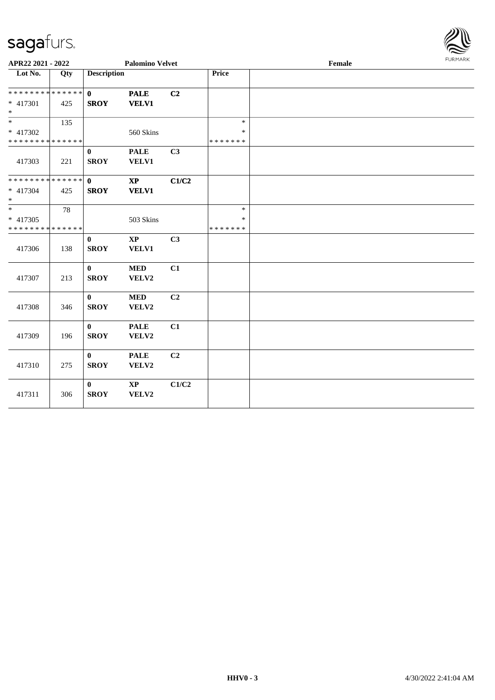

| APR22 2021 - 2022             |     |                    | <b>Palomino Velvet</b> |                |               | 1.91111111 |  |
|-------------------------------|-----|--------------------|------------------------|----------------|---------------|------------|--|
| $\overline{\text{Lot No.}}$   | Qty | <b>Description</b> |                        |                | Price         |            |  |
| * * * * * * * * * * * * * * * |     | $\mathbf{0}$       | <b>PALE</b>            | C2             |               |            |  |
| * 417301                      | 425 | <b>SROY</b>        | <b>VELV1</b>           |                |               |            |  |
| $*$                           |     |                    |                        |                |               |            |  |
| $\overline{\ast}$             | 135 |                    |                        |                | $\ast$        |            |  |
| * 417302                      |     |                    | 560 Skins              |                | *             |            |  |
| * * * * * * * * * * * * * *   |     |                    |                        |                | * * * * * * * |            |  |
|                               |     | $\bf{0}$           | <b>PALE</b>            | C3             |               |            |  |
| 417303                        | 221 | <b>SROY</b>        | VELV1                  |                |               |            |  |
|                               |     |                    |                        |                |               |            |  |
| ******** <mark>******</mark>  |     | $\mathbf{0}$       | $\mathbf{XP}$          | C1/C2          |               |            |  |
| * 417304                      | 425 | <b>SROY</b>        | <b>VELV1</b>           |                |               |            |  |
| $\ast$                        |     |                    |                        |                |               |            |  |
| $*$                           | 78  |                    |                        |                | $\ast$        |            |  |
| * 417305                      |     |                    | 503 Skins              |                | $\ast$        |            |  |
| * * * * * * * * * * * * * *   |     |                    |                        |                | * * * * * * * |            |  |
|                               |     | $\bf{0}$           | $\mathbf{X}\mathbf{P}$ | C3             |               |            |  |
| 417306                        | 138 | <b>SROY</b>        | VELV1                  |                |               |            |  |
|                               |     |                    |                        |                |               |            |  |
|                               |     | $\mathbf{0}$       | <b>MED</b>             | C1             |               |            |  |
| 417307                        | 213 | <b>SROY</b>        | VELV2                  |                |               |            |  |
|                               |     |                    |                        |                |               |            |  |
|                               |     | $\bf{0}$           | <b>MED</b>             | C <sub>2</sub> |               |            |  |
| 417308                        | 346 | <b>SROY</b>        | VELV2                  |                |               |            |  |
|                               |     |                    |                        |                |               |            |  |
|                               |     | $\bf{0}$           | <b>PALE</b>            | C1             |               |            |  |
| 417309                        | 196 | <b>SROY</b>        | VELV2                  |                |               |            |  |
|                               |     |                    |                        |                |               |            |  |
|                               |     | $\bf{0}$           | <b>PALE</b>            | C <sub>2</sub> |               |            |  |
| 417310                        | 275 | <b>SROY</b>        | VELV2                  |                |               |            |  |
|                               |     |                    |                        |                |               |            |  |
|                               |     | $\bf{0}$           | $\bold{XP}$            | C1/C2          |               |            |  |
| 417311                        | 306 | <b>SROY</b>        | VELV2                  |                |               |            |  |
|                               |     |                    |                        |                |               |            |  |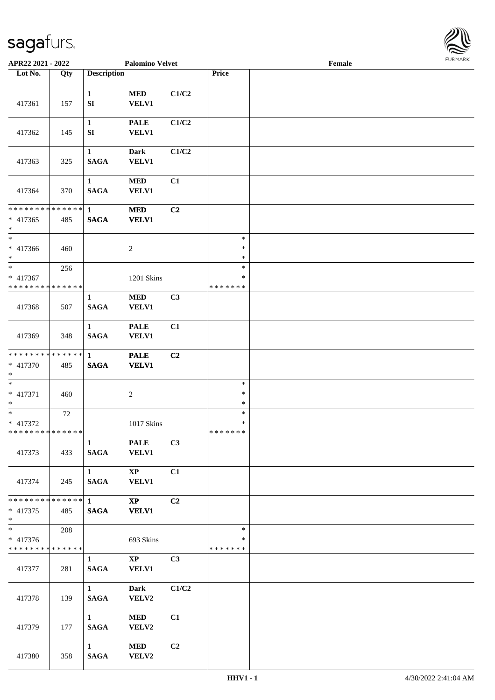

| APR22 2021 - 2022                                                     |                     |                                       | <b>Palomino Velvet</b>                 |       |                                   | Female |  |
|-----------------------------------------------------------------------|---------------------|---------------------------------------|----------------------------------------|-------|-----------------------------------|--------|--|
| Lot No.                                                               | Qty                 | <b>Description</b>                    |                                        |       | Price                             |        |  |
| 417361                                                                | 157                 | $\mathbf{1}$<br>${\bf S}{\bf I}$      | <b>MED</b><br><b>VELV1</b>             | C1/C2 |                                   |        |  |
| 417362                                                                | 145                 | $\mathbf{1}$<br>SI                    | <b>PALE</b><br><b>VELV1</b>            | C1/C2 |                                   |        |  |
| 417363                                                                | 325                 | $\mathbf{1}$<br><b>SAGA</b>           | Dark<br><b>VELV1</b>                   | C1/C2 |                                   |        |  |
| 417364                                                                | 370                 | $\mathbf{1}$<br><b>SAGA</b>           | $\bf MED$<br><b>VELV1</b>              | C1    |                                   |        |  |
| ******** <mark>******</mark><br>$* 417365$<br>$*$                     | 485                 | $\mathbf{1}$<br><b>SAGA</b>           | <b>MED</b><br><b>VELV1</b>             | C2    |                                   |        |  |
| $*$<br>* 417366<br>$\ast$                                             | 460                 |                                       | $\boldsymbol{2}$                       |       | $\ast$<br>$\ast$<br>$\ast$        |        |  |
| $*$<br>* 417367<br>* * * * * * * * * * * * * *                        | 256                 |                                       | 1201 Skins                             |       | $\ast$<br>$\ast$<br>* * * * * * * |        |  |
| 417368                                                                | 507                 | $\mathbf{1}$<br><b>SAGA</b>           | <b>MED</b><br><b>VELV1</b>             | C3    |                                   |        |  |
| 417369                                                                | 348                 | $\mathbf{1}$<br><b>SAGA</b>           | <b>PALE</b><br><b>VELV1</b>            | C1    |                                   |        |  |
| * * * * * * * * * * * * * * *<br>* 417370<br>$*$                      | 485                 | $\mathbf{1}$<br>$\mathbf{SAGA}$       | <b>PALE</b><br><b>VELV1</b>            | C2    |                                   |        |  |
| $*$<br>$* 417371$<br>$*$                                              | 460                 |                                       | $\boldsymbol{2}$                       |       | $\ast$<br>$\ast$<br>$\ast$        |        |  |
| $\overline{\phantom{0}}$<br>* 417372<br>* * * * * * * * * * * * * * * | 72                  |                                       | 1017 Skins                             |       | $\ast$<br>$\ast$<br>* * * * * * * |        |  |
| 417373                                                                | 433                 | $\mathbf{1}$<br><b>SAGA</b>           | <b>PALE</b><br><b>VELV1</b>            | C3    |                                   |        |  |
| 417374                                                                | 245                 | $1 \quad \blacksquare$<br><b>SAGA</b> | $\mathbf{XP}$<br><b>VELV1</b>          | C1    |                                   |        |  |
| * * * * * * * *<br>$* 417375$<br>$*$                                  | $ ****** $ 1<br>485 | <b>SAGA</b>                           | $\mathbf{X}\mathbf{P}$<br><b>VELV1</b> | C2    |                                   |        |  |
| $* 417376$<br>* * * * * * * * * * * * * *                             | 208                 |                                       | 693 Skins                              |       | $\ast$<br>∗<br>*******            |        |  |
| 417377                                                                | 281                 | $\mathbf{1}$<br><b>SAGA</b>           | $\mathbf{XP}$<br><b>VELV1</b>          | C3    |                                   |        |  |
| 417378                                                                | 139                 | $1 \qquad \qquad$<br><b>SAGA</b>      | <b>Dark</b><br>VELV2                   | C1/C2 |                                   |        |  |
| 417379                                                                | 177                 | $1 \quad \blacksquare$<br><b>SAGA</b> | <b>MED</b><br>VELV2                    | C1    |                                   |        |  |
| 417380                                                                | 358                 | $1 \quad \blacksquare$<br><b>SAGA</b> | <b>MED</b><br>VELV2                    | C2    |                                   |        |  |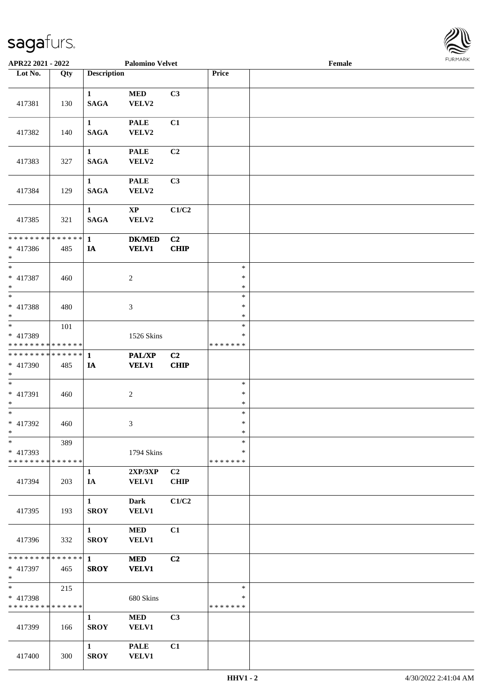

| APR22 2021 - 2022                                  |     |                             | <b>Palomino Velvet</b>          |                               |                                   | Female |  |
|----------------------------------------------------|-----|-----------------------------|---------------------------------|-------------------------------|-----------------------------------|--------|--|
| Lot No.                                            | Qty | <b>Description</b>          |                                 |                               | Price                             |        |  |
| 417381                                             | 130 | $\mathbf{1}$<br><b>SAGA</b> | <b>MED</b><br>VELV2             | C3                            |                                   |        |  |
| 417382                                             | 140 | $\mathbf{1}$<br><b>SAGA</b> | <b>PALE</b><br>VELV2            | C1                            |                                   |        |  |
| 417383                                             | 327 | $\mathbf{1}$<br><b>SAGA</b> | <b>PALE</b><br>VELV2            | C <sub>2</sub>                |                                   |        |  |
| 417384                                             | 129 | $\mathbf{1}$<br><b>SAGA</b> | <b>PALE</b><br>VELV2            | C3                            |                                   |        |  |
| 417385                                             | 321 | $\mathbf{1}$<br><b>SAGA</b> | $\mathbf{X}\mathbf{P}$<br>VELV2 | C1/C2                         |                                   |        |  |
| * * * * * * * * * * * * * * *<br>$* 417386$<br>$*$ | 485 | $\mathbf{1}$<br>IA          | <b>DK/MED</b><br><b>VELV1</b>   | C <sub>2</sub><br>CHIP        |                                   |        |  |
| $*$<br>$* 417387$<br>$*$                           | 460 |                             | $\overline{c}$                  |                               | $\ast$<br>$\ast$<br>$\ast$        |        |  |
| $\overline{\phantom{0}}$<br>* 417388<br>$*$        | 480 |                             | 3                               |                               | $\ast$<br>$\ast$<br>$\ast$        |        |  |
| * 417389<br>* * * * * * * * * * * * * *            | 101 |                             | 1526 Skins                      |                               | $\ast$<br>$\ast$<br>* * * * * * * |        |  |
| * * * * * * * * * * * * * * *                      |     | $\mathbf{1}$                | <b>PAL/XP</b>                   | C2                            |                                   |        |  |
| * 417390<br>$*$                                    | 485 | IA                          | <b>VELV1</b>                    | <b>CHIP</b>                   |                                   |        |  |
| $*$<br>* 417391<br>$*$                             | 460 |                             | $\boldsymbol{2}$                |                               | $\ast$<br>$\ast$<br>$\ast$        |        |  |
| $*$<br>$* 417392$<br>$*$                           | 460 |                             | 3                               |                               | $\ast$<br>$\ast$<br>$\ast$        |        |  |
| $*$<br>* 417393<br>* * * * * * * * * * * * * *     | 389 |                             | 1794 Skins                      |                               | $\ast$<br>∗<br>* * * * * * *      |        |  |
| 417394                                             | 203 | $\mathbf{1}$<br>IA          | 2XP/3XP<br><b>VELV1</b>         | C <sub>2</sub><br><b>CHIP</b> |                                   |        |  |
| 417395                                             | 193 | $\mathbf{1}$<br><b>SROY</b> | Dark<br><b>VELV1</b>            | C1/C2                         |                                   |        |  |
| 417396                                             | 332 | $\mathbf{1}$<br><b>SROY</b> | <b>MED</b><br><b>VELV1</b>      | C1                            |                                   |        |  |
| ******** <mark>******</mark> 1                     |     |                             | <b>MED</b>                      | C2                            |                                   |        |  |
| * 417397<br>$*$                                    | 465 | <b>SROY</b>                 | <b>VELV1</b>                    |                               |                                   |        |  |
| $*$<br>* 417398<br>* * * * * * * * * * * * * *     | 215 |                             | 680 Skins                       |                               | $\ast$<br>$\ast$<br>* * * * * * * |        |  |
| 417399                                             | 166 | $\mathbf{1}$<br><b>SROY</b> | <b>MED</b><br><b>VELV1</b>      | C3                            |                                   |        |  |
| 417400                                             | 300 | $\mathbf{1}$<br><b>SROY</b> | <b>PALE</b><br><b>VELV1</b>     | C1                            |                                   |        |  |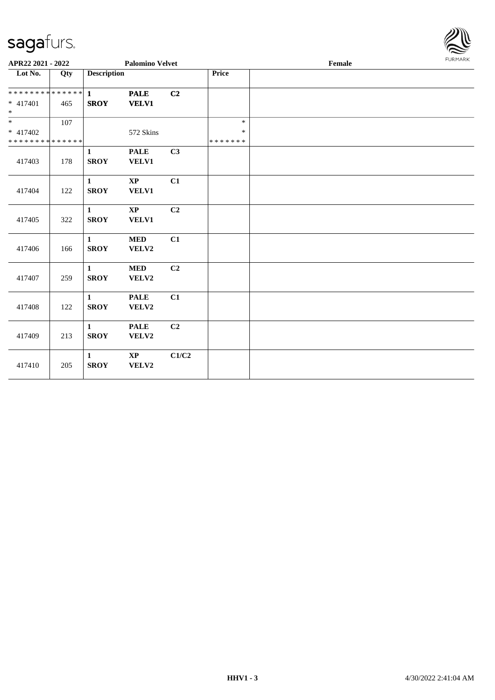

| APR22 2021 - 2022                         |     | <b>Palomino Velvet</b> |                             |                |                         | Female |  |  |
|-------------------------------------------|-----|------------------------|-----------------------------|----------------|-------------------------|--------|--|--|
| Lot No.                                   | Qty | <b>Description</b>     |                             |                | Price                   |        |  |  |
| ************** 1<br>* 417401              | 465 | <b>SROY</b>            | <b>PALE</b><br><b>VELV1</b> | C2             |                         |        |  |  |
| $*$                                       |     |                        |                             |                |                         |        |  |  |
| $\overline{\ast}$                         | 107 |                        |                             |                | $\ast$                  |        |  |  |
| $* 417402$<br>* * * * * * * * * * * * * * |     |                        | 572 Skins                   |                | $\ast$<br>* * * * * * * |        |  |  |
|                                           |     | $\mathbf{1}$           | <b>PALE</b>                 | C3             |                         |        |  |  |
| 417403                                    | 178 | <b>SROY</b>            | VELV1                       |                |                         |        |  |  |
|                                           |     | $\mathbf{1}$           | <b>XP</b>                   | C1             |                         |        |  |  |
| 417404                                    | 122 | <b>SROY</b>            | VELV1                       |                |                         |        |  |  |
|                                           |     | $\mathbf{1}$           | $\mathbf{X}\mathbf{P}$      | C <sub>2</sub> |                         |        |  |  |
| 417405                                    | 322 | <b>SROY</b>            | VELV1                       |                |                         |        |  |  |
|                                           |     | $\mathbf{1}$           | <b>MED</b>                  | C1             |                         |        |  |  |
| 417406                                    | 166 | <b>SROY</b>            | VELV2                       |                |                         |        |  |  |
|                                           |     | $\mathbf{1}$           | $\bf MED$                   | C <sub>2</sub> |                         |        |  |  |
| 417407                                    | 259 | <b>SROY</b>            | VELV2                       |                |                         |        |  |  |
|                                           |     | $\mathbf{1}$           | <b>PALE</b>                 | C1             |                         |        |  |  |
| 417408                                    | 122 | <b>SROY</b>            | VELV2                       |                |                         |        |  |  |
|                                           |     | $\mathbf{1}$           | <b>PALE</b>                 | C <sub>2</sub> |                         |        |  |  |
| 417409                                    | 213 | <b>SROY</b>            | VELV2                       |                |                         |        |  |  |
|                                           |     | $\mathbf{1}$           | $\mathbf{XP}$               | C1/C2          |                         |        |  |  |
| 417410                                    | 205 | <b>SROY</b>            | VELV2                       |                |                         |        |  |  |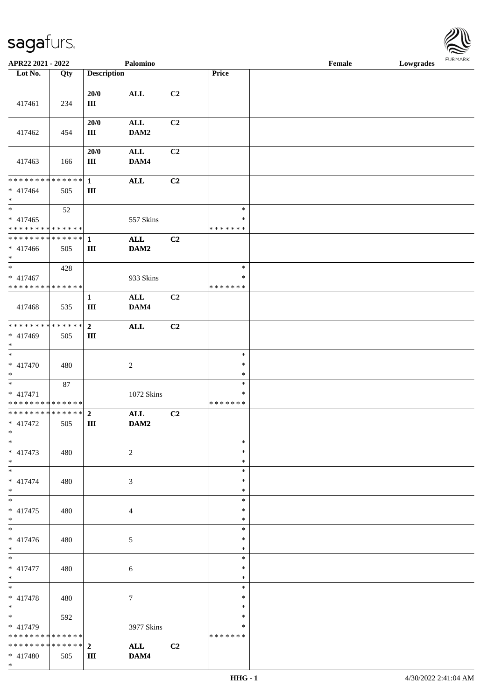| Lot No.                                                               | Qty | <b>Description</b>               |                        |    | <b>Price</b>                      |  |
|-----------------------------------------------------------------------|-----|----------------------------------|------------------------|----|-----------------------------------|--|
| 417461                                                                | 234 | 20/0<br>III                      | <b>ALL</b>             | C2 |                                   |  |
| 417462                                                                | 454 | 20/0<br>Ш                        | $\mathbf{ALL}$<br>DAM2 | C2 |                                   |  |
| 417463                                                                | 166 | 20/0<br>III                      | $\mathbf{ALL}$<br>DAM4 | C2 |                                   |  |
| ******** <mark>******</mark><br>$* 417464$<br>$\ast$                  | 505 | $\mathbf{1}$<br>$\rm III$        | $\mathbf{ALL}$         | C2 |                                   |  |
| $\overline{\phantom{1}}$<br>$* 417465$<br>* * * * * * * * * * * * * * | 52  |                                  | 557 Skins              |    | $\ast$<br>$\ast$<br>* * * * * * * |  |
| ******** <mark>******</mark><br>$* 417466$<br>$*$                     | 505 | $\mathbf{1}$<br>$\mathbf{III}$   | $\mathbf{ALL}$<br>DAM2 | C2 |                                   |  |
| $\overline{\phantom{0}}$<br>$* 417467$<br>* * * * * * * * * * * * * * | 428 |                                  | 933 Skins              |    | $\ast$<br>∗<br>* * * * * * *      |  |
| 417468                                                                | 535 | $\mathbf{1}$<br>$\rm III$        | <b>ALL</b><br>DAM4     | C2 |                                   |  |
| **************<br>* 417469<br>$\ast$                                  | 505 | $\overline{2}$<br>Ш              | $\mathbf{ALL}$         | C2 |                                   |  |
| $\overline{\phantom{0}}$<br>$* 417470$<br>$*$                         | 480 |                                  | $\overline{2}$         |    | $\ast$<br>$\ast$<br>$\ast$        |  |
| $\ast$<br>* 417471<br>* * * * * * * * * * * * * *                     | 87  |                                  | 1072 Skins             |    | $\ast$<br>$\ast$<br>* * * * * * * |  |
| ******** <mark>******</mark><br>$* 417472$<br>$*$                     | 505 | $\overline{2}$<br>$\mathbf{III}$ | $\mathbf{ALL}$<br>DAM2 | C2 |                                   |  |
| $*$<br>$* 417473$<br>$\ast$                                           | 480 |                                  | $\overline{c}$         |    | $*$<br>$\ast$<br>$\ast$           |  |
| $_{\ast}^{-}$<br>$* 417474$<br>$\ast$                                 | 480 |                                  | 3                      |    | $\ast$<br>∗<br>$\ast$             |  |
| $*$<br>$* 417475$<br>$\ast$                                           | 480 |                                  | $\overline{4}$         |    | $\ast$<br>∗<br>$\ast$             |  |
| $\ast$<br>* 417476<br>$*$                                             | 480 |                                  | 5                      |    | $\ast$<br>*<br>$\ast$             |  |
| $\overline{\phantom{0}}$<br>$* 417477$<br>$*$                         | 480 |                                  | 6                      |    | $\ast$<br>$\ast$<br>$\ast$        |  |
| $\ast$<br>$* 417478$<br>$*$                                           | 480 |                                  | $\tau$                 |    | $\ast$<br>$\ast$<br>$\ast$        |  |
| $\ast$<br>* 417479<br>* * * * * * * * * * * * * *                     | 592 |                                  | 3977 Skins             |    | $\ast$<br>$\ast$<br>* * * * * * * |  |
| * * * * * * * * * * * * * * *<br>$* 417480$<br>$*$                    | 505 | $\overline{2}$<br>Ш              | $\mathbf{ALL}$<br>DAM4 | C2 |                                   |  |